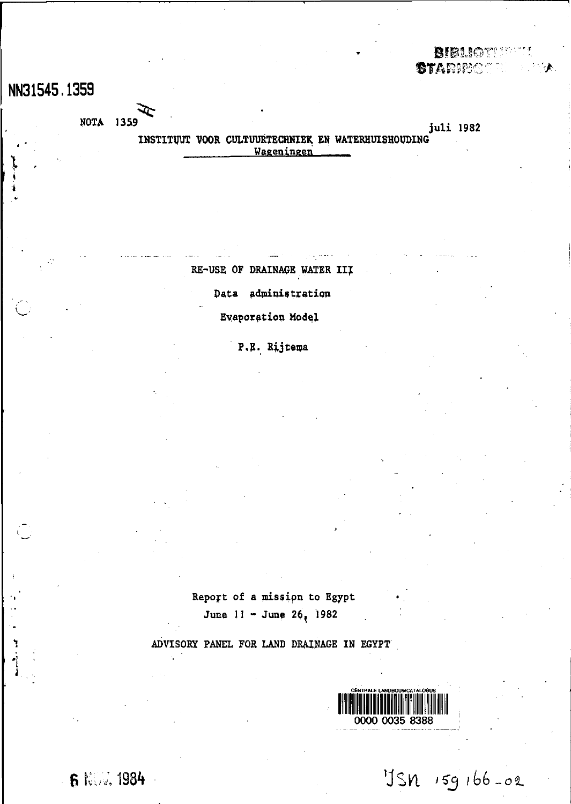# NN31545.1359

**NOTA** 1359

6 N.W. 1984

juli 1982 INSTITUUT VOOR CULTUURTECHNIEK EN WATERHUISHOUDING Wageningen

STARING

RE-USE OF DRAINAGE WATER III Data administration Evaporation Model

P.E. Rijtema

Report of a mission to Egypt June 11 - June 26, 1982

ADVISORY PANEL FOR LAND DRAINAGE IN EGYPT



JSn 15g 166-02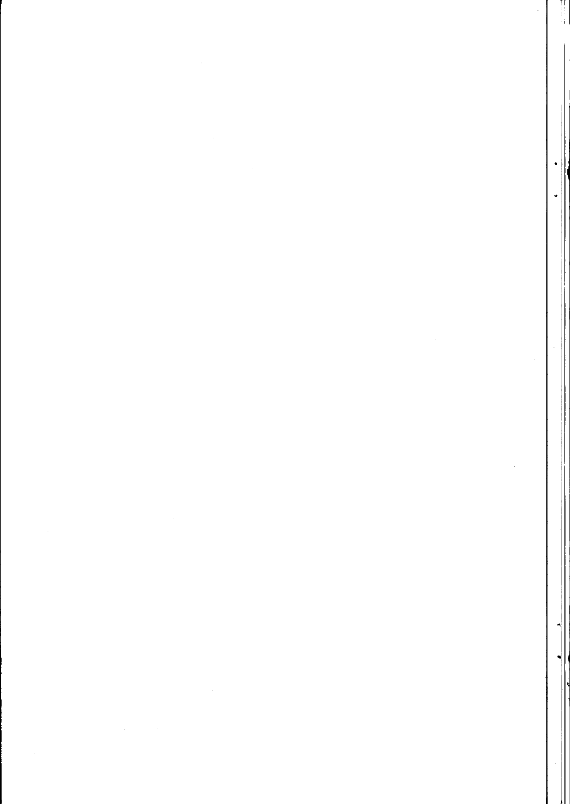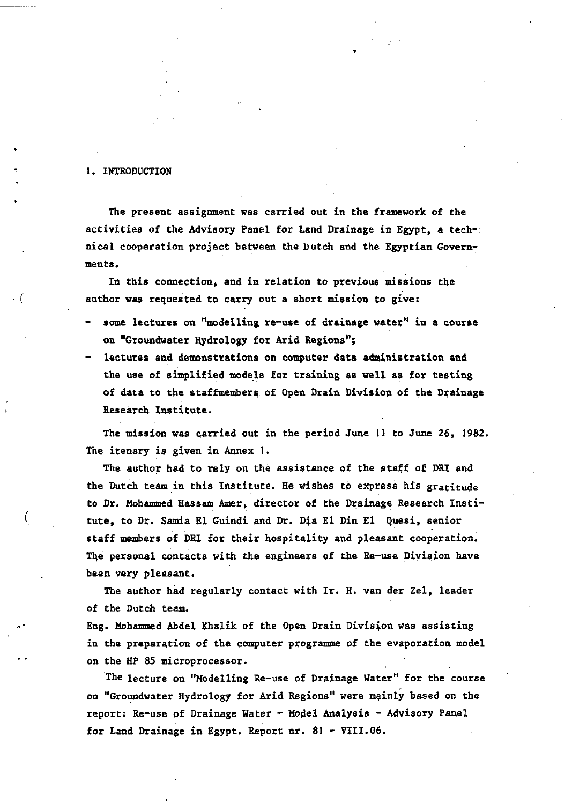#### **1. INTRODUCTION**

**The present assignment was carried out in the framework of the activities of the Advisory Panel for Land Drainage in Egypt, a tech-: nical cooperation project between the Dutch and the Egyptian Governments .** 

**In this connection, and in relation to previous missions the author was requested to carry out a short mission to give:** 

- **some lectures on "modelling re-use of drainage water" in a course on "Groundwater Hydrology for Arid Regions";**
- **lectures and demonstrations on computer data administration and the use of simplified models for training as well as for testing of data to the staff members of Open Drain Division of the Drainage Research Institute.**

The mission was carried out in the period June 11 to June 26, 1982. **The itenary is given in Annex 1.** 

**The author had to rely on the assistance of the staff of DRI and the Dutch team in this Institute. He wishes to express his gratitude to Dr. Mohammed Hassam Amer, director of the Drainage Research Insti**tute, to Dr. Samia El Guindi and Dr. Dia El Din El Quesi, senior **staff members of DRI for their hospitality and pleasant cooperation. The personal contacts with the engineers of the Re-use Division have been very pleasant.** 

**The author had regularly contact with Ir. H. van der Zei, leader of the Dutch team.** 

**Eng. Mohammed Abdel Khalik of the Open Drain Division was assisting in the preparation of the computer programme of the evaporation model on the HP 85 microprocessor.** 

**The lecture on "Modelling Re-use of Drainage Water" for the course on "Groundwater Hydrology for Arid Regions" were mainly based on the report: Re-use of Drainage Water - Model Analysis - Advisory Panel for Land Drainage in Egypt. Report nr. 81 - VIII.06.**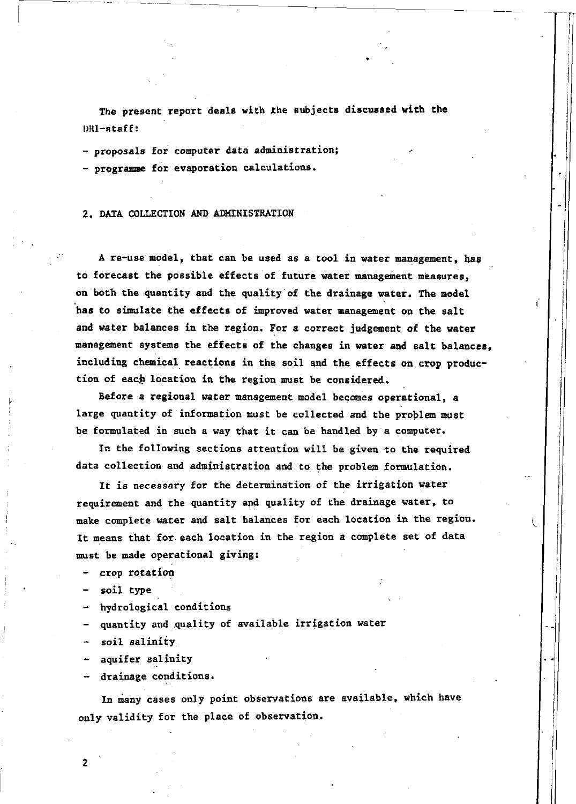The present report deals with the subjects discussed with the DRl-staff:

- proposals for computer data administration;

- programme for evaporation calculations.

2. DATA COLLECTION AND ADMINISTRATION

A re-use model, that can be used as a tool in water management, has to forecast the possible effects of future water management measures, on both the quantity and the quality of the drainage water. The model has to simulate the effects of improved water management on the salt and water balances in the region. For a correct judgement of the water management systems the effects of the changes in water and salt balances, including chemical reactions in the soil and the effects on crop production of each location in the region must be considered.

Before a regional water management model becomes operational, a large quantity of information must be collected and the problem must be formulated in such a way that it can be handled by a computer.

In the following sections attention will be given to the required data collection and administration and to the problem formulation.

It is necessary for the determination of the irrigation water requirement and the quantity and quality of the drainage water, to make complete water and salt balances for each location in the region. It means that for each location in the region a complete set of data must be made operational giving:

- crop rotation

soil type

hydrological conditions

- quantity and quality of available irrigation water

- soil salinity

- aquifer salinity

- drainage conditions.

In many cases only point observations are available, which have only validity for the place of observation.

 $\overline{2}$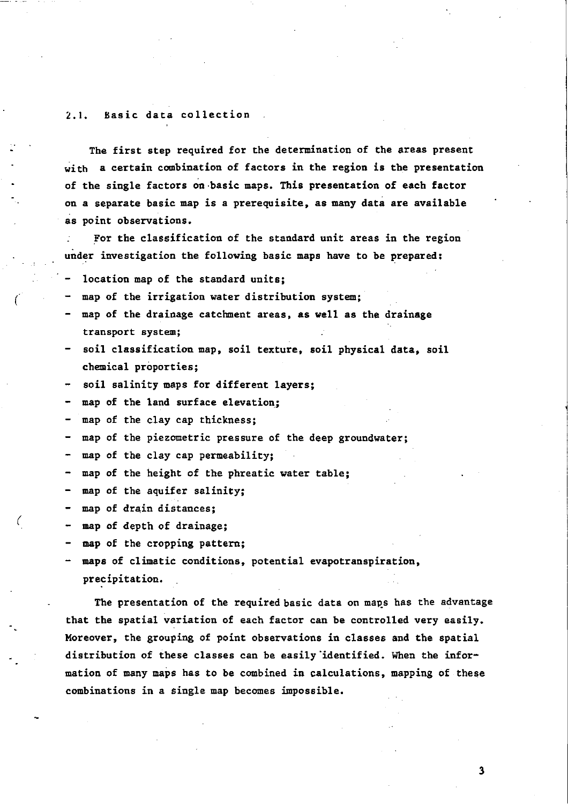## **2.1. Basic data collection**

**The first step required for the determination of the areas present with a certain combination of factors in the region is the presentation of the single factors on basic maps. This presentation of each factor on a separate basic map is a prerequisite, as many data are available as point observations.** 

**For the classification of the standard unit areas in the region under investigation the following basic maps have to be prepared:** 

**- location map of the standard units;** 

**- map of the irrigation water distribution system;** 

- **map of the drainage catchment areas, as well as the drainage transport system;**
- **soil classification map, soil texture, soil physical data, soil chemical proporties;**
- **soil salinity maps for different layers;**
- **map of the land surface elevation;**
- **map of the clay cap thickness;**
- **map of the piezometric pressure of the deep groundwater;**
- **map of the clay cap permeability;**
- **map of the height of the phreatic water table;**
- **map of the aquifer salinity;**
- **map of drain distances;**

l

- **map of depth of drainage;**
- **map of the cropping pattern;**
- **maps of climatic conditions, potential évapotranspiration, precipitation.**

**The presentation of the required basic data on maps has the advantage that the spatial variation of each factor can be controlled very easily. Moreover, the grouping of point observations in classes and the spatial distribution of these classes can be easily "identified. When the information of many maps has to be combined in calculations, mapping of these combinations in a single map becomes impossible.** 

 $\overline{\mathbf{3}}$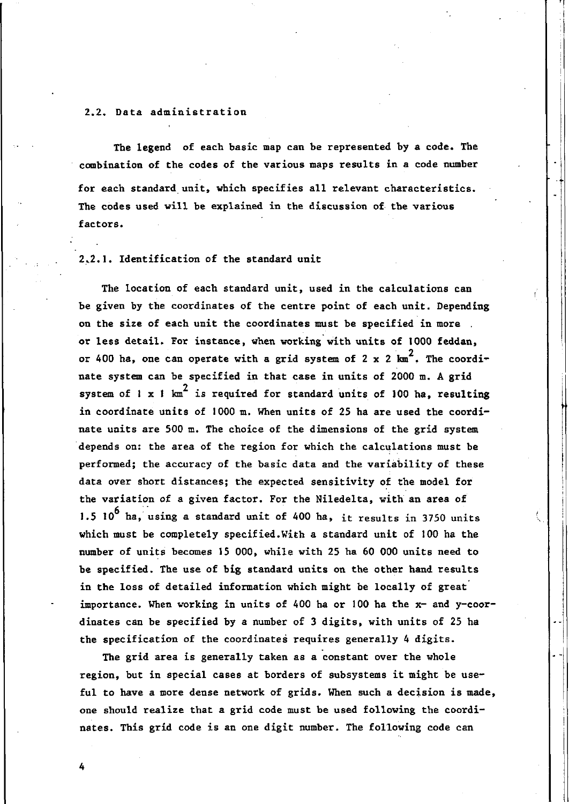## 2.2. Data administration

The legend of each basic map can be represented by a code. The combination of the codes of the various maps results in a code number for each standard unit, which specifies all relevant characteristics. The codes used will be explained in the discussion of the various factors.

## 2.2.1. Identification of the standard unit

The location of each standard unit, used in the calculations can be given by the coordinates of the centre point of each unit. Depending on the size of each unit the coordinates must be specified in more or less detail. For instance, when working with units of 1000 feddan, 2  $\alpha$  400 ha, one can operate with a grid system of 2  $\mu$ nate system can be specified in that case in units of 2000 m. A grid 2 system of 1 x 1  $\rm km^{-}$  is required for standard units of 10 in coordinate units of 1000 m. When units of 25 ha are used the coordinate units are 500 m. The choice of the dimensions of the grid system depends on: the area of the region for which the calculations must be performed; the accuracy of the basic data and the variability of these data over short distances; the expected sensitivity of the model for the variation of a given factor. For the Niledelta, with an area of 1.5  $10^6$  ha, using a standard unit of 400 ha, it results in 3750 units which must be completely specified.With a standard unit of 100 ha the number of units becomes 15 000, while with 25 ha 60 000 units need to be specified. The use of big standard units on the other hand results in the loss of detailed information which might be locally of great importance. When working in units of 400 ha or 100 ha the x- and y-coordinates can be specified by a number of 3 digits, with units of 25 ha the specification of the coordinates requires generally 4 digits.

The grid area is generally taken as a constant over the whole region, but in special cases at borders of subsystems it might be useful to have a more dense network of grids. When such a decision is made, one should realize that a grid code must be used following the coordinates. This grid code is an one digit number. The following code can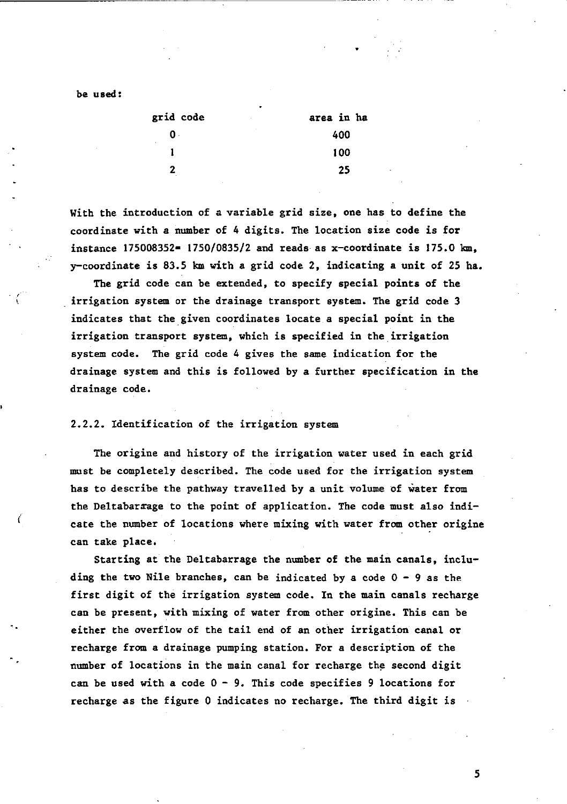be used:

| grid code<br>٠     | area in ha |
|--------------------|------------|
| $\mathbf 0$ .<br>٠ | 400        |
|                    | 100        |
| 2                  | 25         |
|                    |            |

With the introduction of a variable grid size, one has to define the coordinate with a number of 4 digits. The location size code is for instance  $175008352 = 1750/0835/2$  and reads as x-coordinate is  $175.0 \text{ km}$ , y-coordinate is 83.5 km with a grid code 2, indicating a unit of 25 ha.

The grid code can be extended, to specify special points of the irrigation system or the drainage transport system. The grid code 3 indicates that the given coordinates locate a special point in the irrigation transport system, which is specified in the irrigation system code. The grid code 4 gives the same indication for the drainage system and this is followed by a further specification in the drainage code.

2.2.2. Identification of the irrigation system

The origine and history of the irrigation water used in each grid must be completely described. The code used for the irrigation system has to describe the pathway travelled by a unit volume of water from the Deltabaraage to the point of application. The code must also indicate the number of locations where mixing with water from other origine can take place.

Starting at the Deltabarrage the number of the main canals, including the two Nile branches, can be indicated by a code  $0 - 9$  as the first digit of the irrigation system code. In the main canals recharge can be present, with mixing of water from other origine. This can be either the overflow of the tail end of an other irrigation canal or recharge from a drainage pumping station. For a description of the number of locations in the main canal for recharge the second digit can be used with a code  $0 - 9$ . This code specifies 9 locations for recharge as the figure 0 indicates no recharge. The third digit is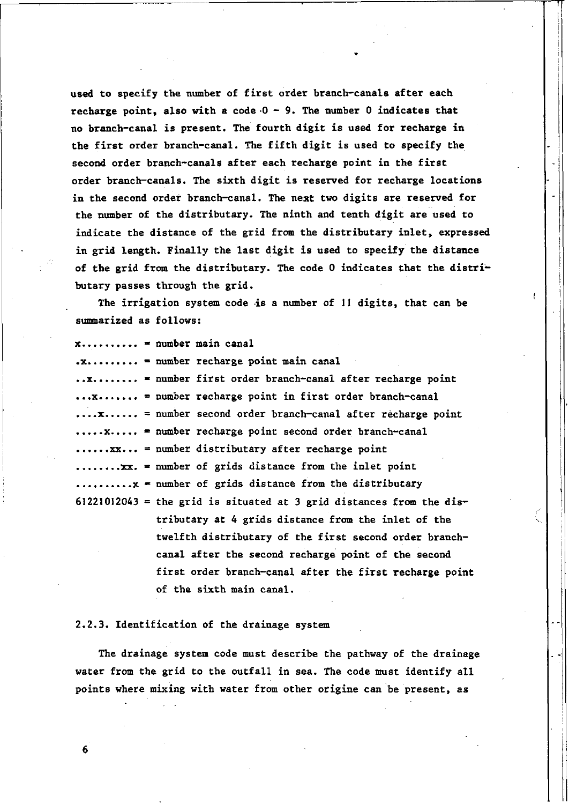used to specify the number of first order branch-canals after each recharge point, also with a code  $0 - 9$ . The number 0 indicates that no branch-canal is present. The fourth digit is used for recharge in the first order branch-canal. The fifth digit is used to specify the second order branch-canals after each recharge point in the first order branch-canals. The sixth digit is reserved for recharge locations in the second order branch-canal. The next two digits are reserved for the number of the distributary. The ninth and tenth digit are used to indicate the distance of the grid from the distributary inlet, expressed in grid length. Finally the last digit is used to specify the distance of the grid from the distributary. The code 0 indicates that the distributary passes through the grid.

The irrigation system code is a number of 11 digits, that can be summarized as follows:

| $x$ = number main canal |  |  |  |  |  |  |  |  |  |  |  |  |  |  |
|-------------------------|--|--|--|--|--|--|--|--|--|--|--|--|--|--|
|-------------------------|--|--|--|--|--|--|--|--|--|--|--|--|--|--|

| $\ldots$ = number recharge point main canal                            |
|------------------------------------------------------------------------|
| $\ldots$ = number first order branch-canal after recharge point        |
| x = number recharge point in first order branch-canal                  |
| x = number second order branch-canal after recharge point              |
| X = number recharge point second order branch-canal                    |
| $\ldots$ $x_1 =$ number distributary after recharge point              |
| $\ldots$ $xx$ . = number of grids distance from the inlet point        |
| x = number of grids distance from the distributary                     |
| $61221012043$ = the grid is situated at 3 grid distances from the dis- |
| tributary at 4 grids distance from the inlet of the                    |
| twelfth distributary of the first second order branch-                 |
| canal after the second recharge point of the second                    |
| first order branch-canal after the first recharge point                |
| of the sixth main canal.                                               |

2.2.3. Identification of the drainage system

The drainage system code must describe the pathway of the drainage water from the grid to the outfall in sea. The code must identify all points where mixing with water from other origine can be present, as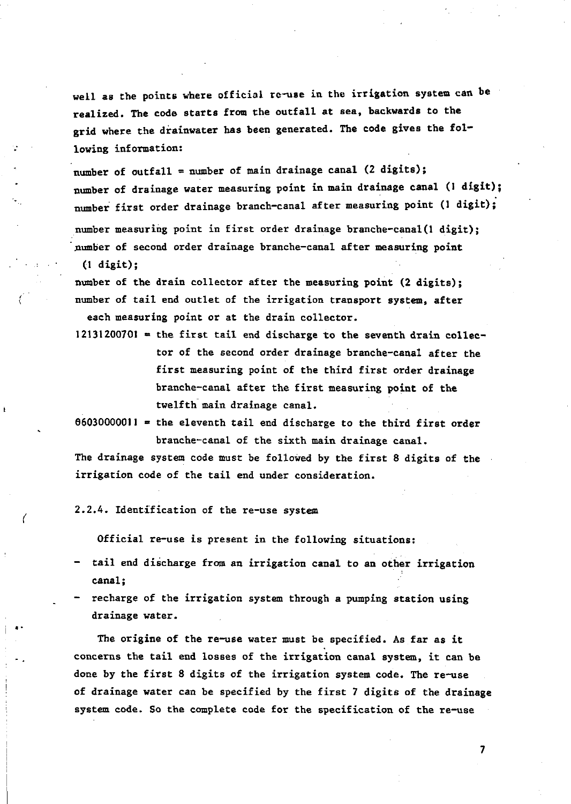well as the points where official re-use in the irrigation system can be realized. The code starts from the outfall at sea, backwards to the grid where the drainwater has been generated. The code gives the following information:

number of outfall = number of main drainage canal (2 digits); number of drainage water measuring point in main drainage canal (1 digit); number first order drainage branch-canal after measuring point (1 digit); number measuring point in first order drainage branche-canal(1 digit); number of second order drainage branche-canal after measuring point

(1 digit);

number of the drain collector after the measuring point (2 digits); number of tail end outlet of the irrigation transport system, after each measuring point or at the drain collector.

 $12131200701$  = the first tail end discharge to the seventh drain collector of the second order drainage branche-canal after the first measuring point of the third first order drainage branche-canal after the first measuring point of the twelfth main drainage canal.

66030000011 *-* the eleventh tail end discharge to the third first order branche-canal of the sixth main drainage canal.

The drainage system code must be followed by the first 8 digits of the irrigation code of the tail end under consideration.

2.2.4. Identification of the re-use system

Official re-use is present in the following situations:

- tail end discharge from an irrigation canal to an other irrigation canal;
- recharge of the irrigation system through a pumping station using drainage water.

The origine of the re-use water must be specified. As far as it concerns the tail end losses of the irrigation canal system, it can be done by the first 8 digits of the irrigation system code. The re-use of drainage water can be specified by the first 7 digits of the drainage system code. So the complete code for the specification of the re-use

 $\overline{\mathbf{z}}$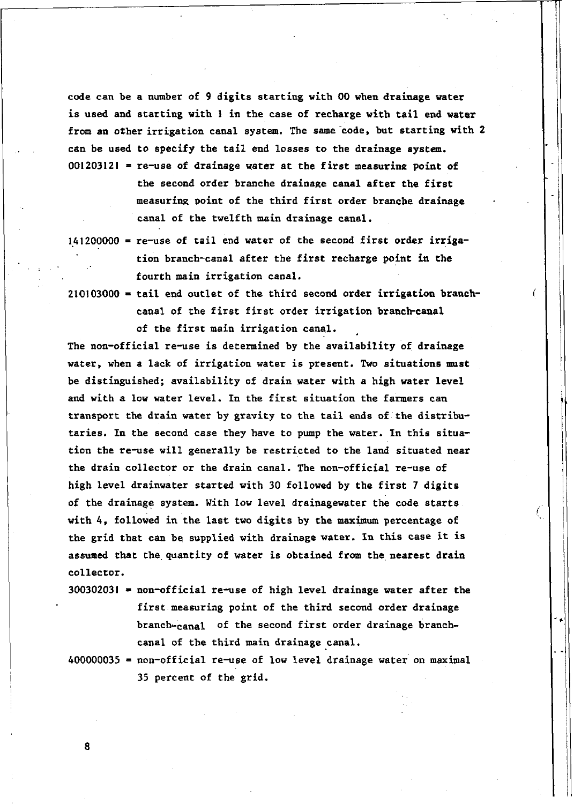code can be a number of 9 digits starting with 00 when drainage water is used and starting with 1 in the case of recharge with tail end water from an other irrigation canal system. The same "code, but starting with 2 can be used to specify the tail end losses to the drainage system.

- 001203121 = re-use of drainage water at the first measuring point of the second order branche drainage canal after the first measuring point of the third first order branche drainage canal of the twelfth main drainage canal.
- 141200000 = re-use of tail end water of the second first order irrigation branch-canal after the first recharge point in the fourth main irrigation canal.
- $210103000 = tail$  end outlet of the third second order irrigation branchcanal of the first first order irrigation branch-canal of the first main irrigation canal.

The non-official re-use is determined by the availability of drainage water, when a lack of irrigation water is present. Two situations must be distinguished; availability of drain water with a high water level and with a low water level. In the first situation the farmers can transport the drain water by gravity to the tail ends of the distributaries. In the second case they have to pump the water. In this situation the re-use will generally be restricted to the land situated near the drain collector or the drain canal. The non-official re-use of high level drainwater started with 30 followed by the first 7 digits of the drainage system. With low level drainagewater the code starts with 4, followed in the last two digits by the maximum percentage of the grid that can be supplied with drainage water. In this case it is assumed that the quantity of water is obtained from the nearest drain collector.

- $300302031$  = non-official re-use of high level drainage water after the first measuring point of the third second order drainage branch-canal of the second first order drainage branchcanal of the third main drainage canal.
- 400000035 = non-official re-use of low level drainage water on maximal 35 percent of the grid.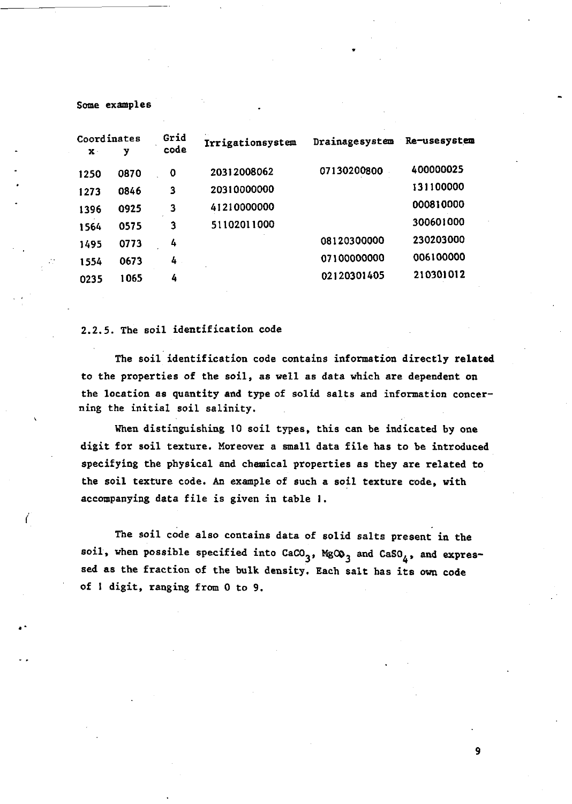|                | эоше ехашрієв    |              | ٠                |                |                     |
|----------------|------------------|--------------|------------------|----------------|---------------------|
| $\mathbf{x}$ . | Coordinates<br>y | Grid<br>code | Irrigationsystem | Drainagesystem | <b>Re-usesystem</b> |
| 1250           | 0870             | $\mathbf 0$  | 20312008062      | 07130200800    | 400000025           |
| 1273           | 0846             | 3            | 20310000000      |                | 131100000           |
| 1396           | 0925             | 3            | 41210000000      |                | 000810000           |
| 1564           | 0575             | 3            | 51102011000      |                | 300601000           |
| 1495           | 0773             | 4            |                  | 08120300000    | 230203000           |
| 1554           | 0673             | $-4$         |                  | 07100000000    | 006100000           |
| 0235           | 1065             | 4            |                  | 02120301405    | 210301012           |
|                |                  |              |                  |                |                     |

### 2.2.5. The soil identification code

Some < examples

 $\sqrt{ }$ 

The soil identification code contains information directly related to the properties of the soil, as well as data which are dependent on the location as quantity and type of solid salts and information concerning the initial soil salinity.

When distinguishing 10 soil types, this can be indicated by one digit for soil texture. Moreover a small data file has to be introduced specifying the physical and chemical properties as they are related to the soil texture code. An example of such a soil texture code, with accompanying data file is given in table 1.

The soil code also contains data of solid salts present in the soil, when possible specified into  $CaCO_{3}$ , MgCO<sub>3</sub> and CaSO<sub>4</sub>, and expressed as the fraction of the bulk density. Each salt has its own code of 1 digit, ranging from 0 to 9.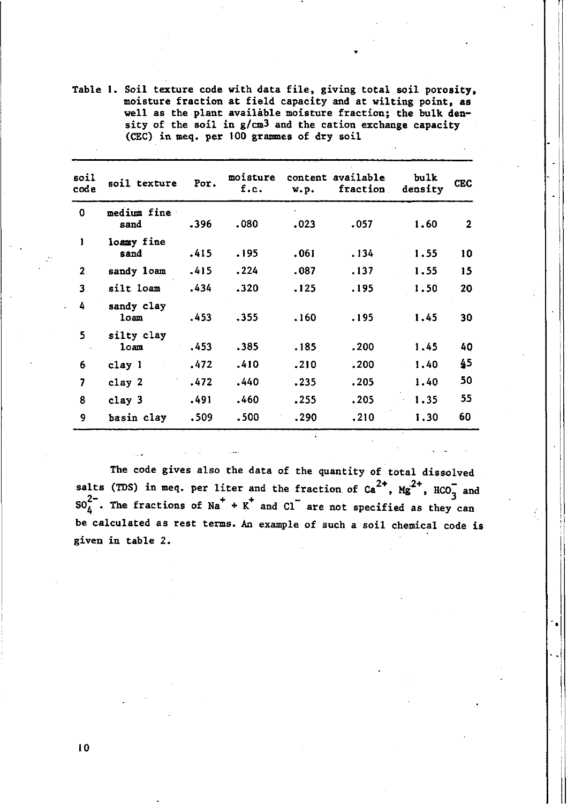**Table 1. Soil texture code with data file, giving total soil porosity, moisture fraction at field capacity and at wilting point, as well as the plant available moisture fraction; the bulk density of the soil in g/cm3 and the cation exchange capacity (CEC) in meq. per 100 grammes of dry soil** 

| soil<br>code            | soil texture                    | Por. | moisture<br>f.c. | w.p. | content available<br>fraction | bulk<br>density | <b>CEC</b>   |
|-------------------------|---------------------------------|------|------------------|------|-------------------------------|-----------------|--------------|
| $\bf{0}$                | medium fine<br>sand             | .396 | .080             | .023 | .057                          | 1.60            | $\mathbf{2}$ |
| 1                       | loamy fine<br>sand              | .415 | .195             | .061 | .134                          | 1.55            | 10           |
| $\mathbf{2}$            | sandy loam                      | .415 | .224             | .087 | .137                          | 1.55            | 15           |
| $\overline{\mathbf{3}}$ | silt loam                       | .434 | .320             | .125 | .195                          | 1.50            | 20           |
| 4                       | sandy clay<br>loam              | .453 | .355             | .160 | .195                          | 1.45            | 30           |
| 5                       | silty clay<br>1 <sub>o</sub> am | .453 | .385             | .185 | .200                          | 1.45            | 40           |
| 6                       | clay 1                          | .472 | .410             | .210 | .200                          | 1.40            | 45           |
| 7                       | clay 2                          | .472 | .440             | .235 | .205                          | 1.40            | 50           |
| 8                       | clay 3                          | .491 | .460             | .255 | .205                          | 1.35            | 55           |
| 9                       | basin clay                      | .509 | .500             | .290 | .210                          | 1.30            | 60           |

**The code gives also the data of the quantity of total dissolved salts (TDS) in meq. per liter and the fraction of Ca<sup>2+</sup>, M**  $\overline{I}$ . The fractions of  $Na^+ + K^+$  and  $Cl^-$  are not specified as t **SO^ . The fractions of Na + K and CI are not specified as they can be calculated as rest terms. An example of such a soil chemical code is given in table 2.**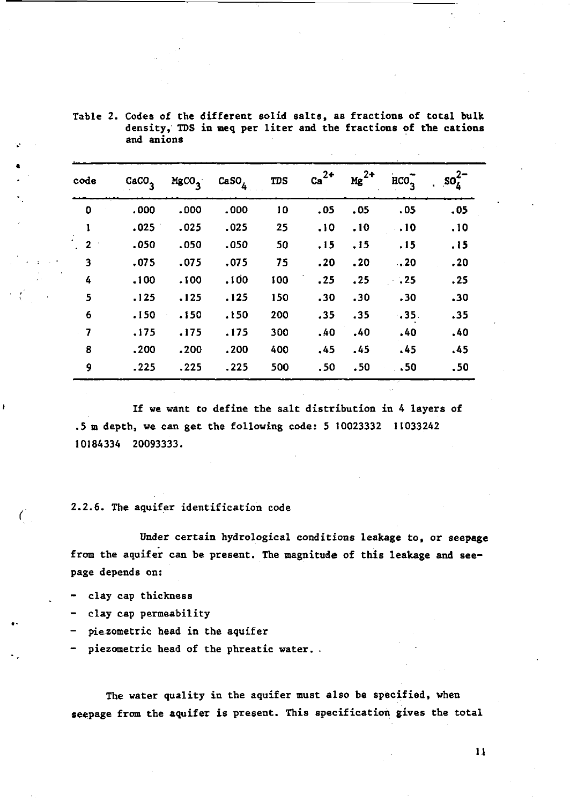| code                    | CaCO <sub>2</sub> | MgCO <sub>3</sub> | $\text{CaSO}_{\tilde{K}}$ | <b>TDS</b> | $ca2+$ | $Mg^{2+}$ | HCO <sub>2</sub>  | $\text{SO}_4^{2-}$ |
|-------------------------|-------------------|-------------------|---------------------------|------------|--------|-----------|-------------------|--------------------|
| $\mathbf 0$             | .000              | .000              | .000                      | 10         | .05    | .05       | .05               | .05                |
| 1                       | .025              | .025              | .025                      | 25         | .10    | .10       | .10               | .10                |
| 2 <sup>1</sup>          | .050              | .050              | .050                      | 50         | .15    | .15       | .15               | .15                |
| $\overline{\mathbf{3}}$ | .075              | .075              | .075                      | 75         | .20    | .20       | .20               | .20                |
| 4                       | .100              | .100              | .100                      | 100        | .25    | .25       | .25               | .25                |
| 5                       | .125              | .125              | .125                      | 150        | .30    | .30       | .30               | .30                |
| 6                       | .150              | .150              | .150                      | 200        | .35    | .35       | .35.              | .35                |
| 7                       | .175              | .175              | .175                      | 300        | .40    | .40       | .40               | .40                |
| 8                       | .200              | .200              | .200                      | 400        | .45    | .45       | .45               | .45                |
| 9                       | .225              | .225              | .225                      | 500        | .50    | .50       | $\ddot{\cdot}$ 50 | .50                |

Table 2. Codes of the different solid salts, as fractions of **total bulk**  density,' TDS in meq per liter and the fractions of the cations and anions

If we want to define the salt distribution in 4 layers of .5 m depth, we can get the following code: 5 10023332 11033242 10184334 20093333.

2.2.6. The aquifer identification code

Under certain hydrological conditions leakage to, or seepage from the aquifer can be present. The magnitude of this leakage and seepage depends on:

- clay cap thickness

 $\sqrt{2}$ 

- clay cap permeability
- pie.zometric head in the aquifer
- piezometric head of the phreatic water..

The water quality in the aquifer must also be specified, when seepage from the aquifer is present. This specification gives the total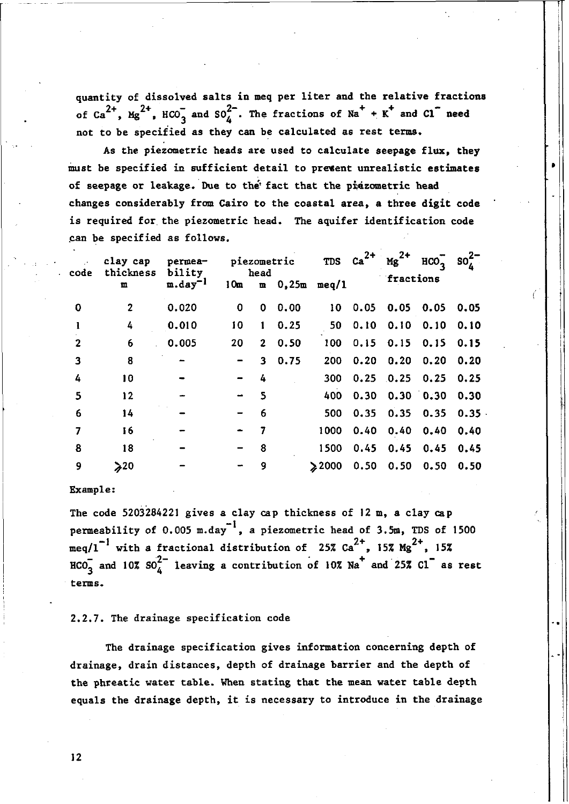quantity of dissolved salts in meq per liter and the relative fractions  $2+$   $\mu_0^2$   $\mu_0^2$  and  $\Omega^2$ . The fractions of  $N_A^+$  +  $K^+$  $\frac{3}{4}$  ,  $\frac{1}{4}$  ,  $\frac{1}{4}$  and  $\frac{1}{4}$  . The fractions of  $\frac{1}{4}$ not to be specified as they can be calculated as rest terms.

As the piezometric heads are used to calculate seepage flux, they must be specified in sufficient detail to prevent unrealistic estimates of seepage or leakage. Due to the' fact that the piezometric head changes considerably from Cairo to the coastal area, a three digit code is required for the piezometric head. The aquifer identification code can be specified as follows.

| code                    | clay cap<br>thickness | permea-<br>bility   |                 | head         | piezometric       |                            | TDS $Ca^{2+}$ | $Mg^{2+}$            | HCO <sub>3</sub>  | $\text{SO}_{\lambda}^{2-}$ |
|-------------------------|-----------------------|---------------------|-----------------|--------------|-------------------|----------------------------|---------------|----------------------|-------------------|----------------------------|
|                         | m                     | m.day <sup>-1</sup> | 10 <sub>m</sub> |              | $m = 0,25m$ meg/1 |                            |               | fractions            |                   |                            |
| $\mathbf 0$             | $\overline{2}$        | 0.020               | 0               | 0            | 0.00              | 10 <sup>°</sup>            | 0.05          | 0.05                 | 0.05              | 0.05                       |
| 1                       | 4                     | 0.010               | 10              | $\mathbf{1}$ | 0.25              | 50                         | 0.10          | 0.10                 | 0.10              | 0.10                       |
| $\overline{2}$          | 6                     | 0.005               | 20              | $\mathbf{2}$ | 0.50              | 100                        | 0.15          | 0.15                 | 0.15              | 0.15                       |
| $\overline{\mathbf{3}}$ | 8                     |                     |                 | 3            | 0.75              | 200                        | 0.20          | 0.20                 | 0.20              | 0.20                       |
| 4                       | 10                    |                     |                 | 4            |                   | 300                        |               | $0.25$ $0.25$ $0.25$ |                   | 0.25                       |
| 5                       | 12                    |                     |                 | 5            |                   | 400                        | 0.30          |                      | $0.30 \quad 0.30$ | 0.30                       |
| 6                       | 14                    |                     |                 | 6            |                   | 500                        | 0.35          |                      | $0.35$ $0.35$     | 0.35                       |
| 7                       | 16                    |                     |                 | 7            |                   | 1000                       | 0.40          |                      | $0.40\quad 0.40$  | 0.40                       |
| 8                       | 18                    |                     |                 | 8            |                   | 1500                       | 0.45          |                      | $0.45$ $0.45$     | 0.45                       |
| 9                       | $\lambda^{20}$        |                     |                 | 9            |                   | $\geq 2000$ 0.50 0.50 0.50 |               |                      |                   | 0.50                       |

## Example:

The code 5203284221 gives a clay cap thickness of 12 m, a clay cap permeability of  $0.005$  m.day<sup>-1</sup>, a piezometric head of  $3.5m$ , TDS of 1500 meq/1<sup>-1</sup> with a fractional distribution of 25%  $Ca^{2+}$ , 15%  $Mg^{2+}$ , 15% meq/1 with a fractional distribution of 25% ca  $y$ .<br> $+$  $\mathcal{P}_2$  and 10%  $\mathcal{S}0_L^{\top}$  leaving a contribution of 10% Na and 25%  $\text{terms.}$ terms.

# 2.2.7. The drainage specification code

The drainage specification gives information concerning depth of drainage, drain distances, depth of drainage barrier and the depth of the phreatic water table. When stating that the mean water table depth equals the drainage depth, it is necessary to introduce in the drainage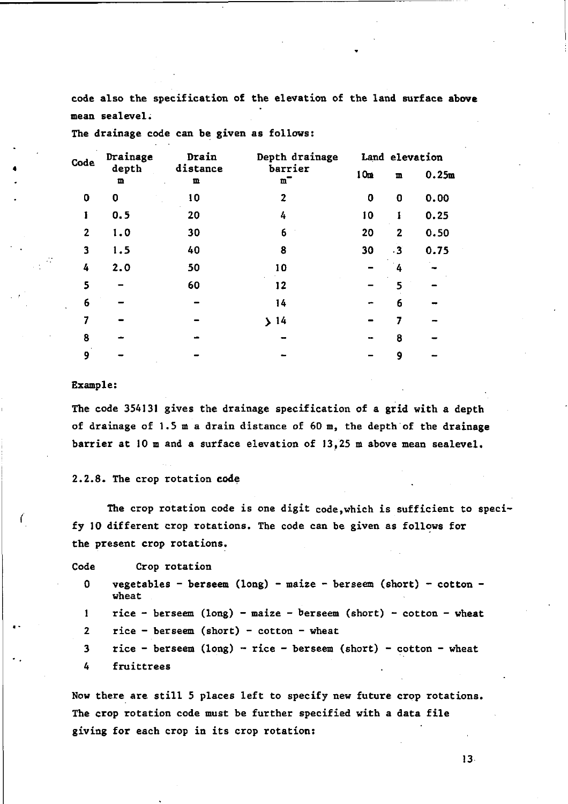code also the specification of the elevation of the land surface above mean sealevel.

| Code           | Drainage   | Drain         | Depth drainage |     | Land elevation |       |
|----------------|------------|---------------|----------------|-----|----------------|-------|
|                | depth<br>m | distance<br>ш | barrier<br>m   | 10m | $\mathbf{m}$   | 0.25m |
| $\mathbf 0$    | 0          | 10            | $\overline{2}$ | 0   | 0              | 0.00  |
| I              | 0.5        | 20            | 4              | 10  | 1              | 0.25  |
| $\overline{2}$ | 1.0        | 30            | 6              | 20  | $\mathbf{2}$   | 0.50  |
| 3              | 1.5        | 40            | 8              | 30  | $\cdot$ 3      | 0.75  |
| 4              | 2.0        | 50            | 10             |     | 4              |       |
| 5              |            | 60            | 12             |     | 5              |       |
| 6              |            |               | 14             |     | 6              |       |
| 7              |            |               | 14<br>У        |     | 7              |       |
| 8              |            |               |                |     | 8              |       |
| 9              |            |               |                |     | 9              |       |

The drainage code can be given as follows:

# Example:

The code 354131 gives the drainage specification of a grid with a depth of drainage of  $1.5$  m a drain distance of  $60$  m, the depth of the drainage barrier at 10 m and a surface elevation of 13,25 m above mean sealevel.

## 2.2.8. The crop rotation **code**

The crop rotation code is one digit code,which is sufficient to specify 10 different crop rotations. The code can be given as follows for the present crop rotations.

Code Crop rotation

```
0 vegetables - berseem (long) - maize - berseem (short) - cotton -
    wheat 
1 rice - berseem (long) - maize - berseem (short) - cotton - wheat
2 rice - berseem (short) - cotton - wheat
3 rice - berseem (long) - rice - berseem (short) - cotton - wheat
```

```
4 fruittrees
```
Now there are still 5 places left to specify new future crop rotations. The crop rotation code must be further specified with a data file giving for each crop in its crop rotation: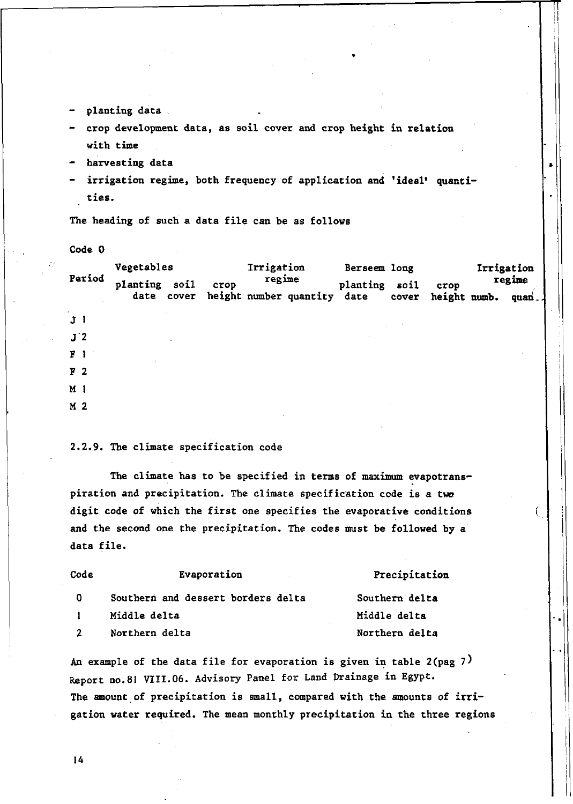- planting data
- crop development data, as soil cover and crop height in relation with time
- harvesting data
- irrigation regime, both frequency of application and 'ideal' quantities.

The heading of such a data file can be as follows

### Code 0

| Period                   | Vegetables<br>planting | soil       | Irrigation<br>regime<br>crop<br>height number quantity date cover height numb. |  |  | Berseem long<br>planting soil | crop |  | Irrigation<br>regime |  |  |
|--------------------------|------------------------|------------|--------------------------------------------------------------------------------|--|--|-------------------------------|------|--|----------------------|--|--|
|                          |                        | date cover |                                                                                |  |  |                               |      |  | quan J               |  |  |
| $\sim$<br>J <sub>1</sub> |                        |            |                                                                                |  |  |                               |      |  |                      |  |  |
| $J^2$                    |                        |            |                                                                                |  |  |                               |      |  |                      |  |  |
| F <sub>1</sub>           |                        |            |                                                                                |  |  |                               |      |  |                      |  |  |
| F <sub>2</sub>           |                        |            |                                                                                |  |  |                               |      |  |                      |  |  |
| M <sub>1</sub>           |                        |            |                                                                                |  |  |                               |      |  |                      |  |  |
| M <sub>2</sub>           |                        |            |                                                                                |  |  |                               |      |  |                      |  |  |

#### 2.2.9. The climate specification code

The climate has to be specified in terms of maximum evapotranspiration and precipitation. The climate specification code is a two. digit code of which the first one specifies the evaporative conditions and the second one the precipitation. The codes must be followed by a data file.

| Code | Evaporation                        | Precipitation  |  |  |  |
|------|------------------------------------|----------------|--|--|--|
| Ð    | Southern and dessert borders delta | Southern delta |  |  |  |
|      | Middle delta                       | Middle delta   |  |  |  |
|      | Northern delta                     | Northern delta |  |  |  |

An example of the data file for evaporation is given in table  $2(pag 7)$ Report no.81 VIII.06. Advisory Panel for Land Drainage in Egypt. The amount of precipitation is small, compared with the amounts of irrigation water required. The mean monthly precipitation in the three regions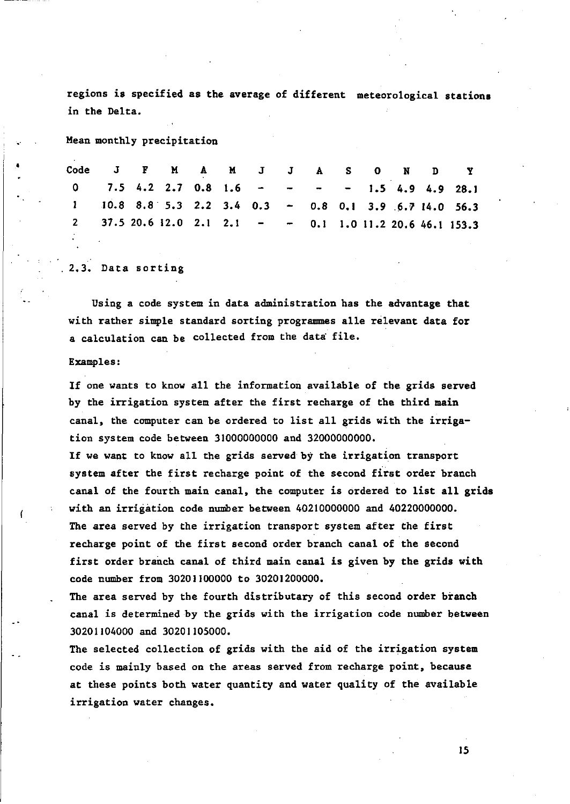**regions is specified as the average of different meteorological stations in the Delta.** 

**Mean monthly precipitation** 

|  |  |  |  |  |  | Code J F M A M J J A S O N D Y                            |
|--|--|--|--|--|--|-----------------------------------------------------------|
|  |  |  |  |  |  | 0 7.5 4.2 2.7 0.8 1.6 - - - - 1.5 4.9 4.9 28.1            |
|  |  |  |  |  |  | 1 10.8 8.8 5.3 2.2 3.4 0.3 - 0.8 0.1 3.9 6.7 14.0 56.3    |
|  |  |  |  |  |  | 2 37.5 20.6 12.0 2.1 2.1 - - 0.1 1.0 11.2 20.6 46.1 153.3 |

2.3. Data sorting

Using a code system in data administration has the advantage that with rather simple standard sorting programmes alle relevant data for a calculation can be collected from the data' file.

#### Examples:

If one wants to know all the information available of the grids served by the irrigation system after the first recharge of the third main canal, the computer can be ordered to list all grids with the irrigation system code between 31000000000 and 32000000000.

If we want to know all the grids served by the irrigation transport system after the first recharge point of the second first order branch canal of the fourth main canal, the computer is ordered to list all grids with an irrigation code number between 40210000000 and 40220000000. The area served by the irrigation transport system after the first recharge point of the first second order branch canal of the second first order branch canal of third main canal is given by the grids with code number from 30201100000 to 30201200000.

The area served by the fourth distributary of this second order branch canal is determined by the grids with the irrigation code number between 30201104000 and 30201105000.

The selected collection of grids with the aid of the irrigation system code is mainly based on the areas served from recharge point, because at these points both water quantity and water quality of the available irrigation water changes.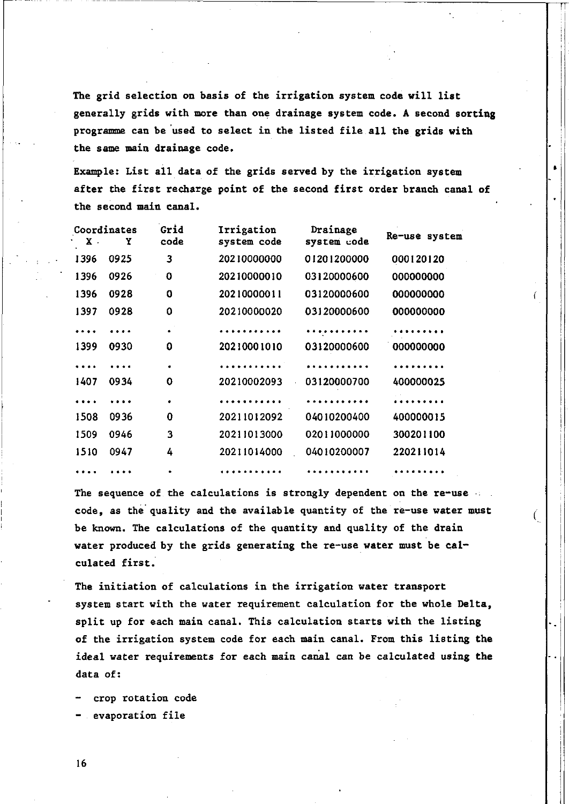The grid selection on basis of the irrigation system code will list generally grids with more than one drainage system code. Â second sorting programme can be used to select in the listed file all the grids with the same main drainage code.

Example: List all data of the grids served by the irrigation system after the first recharge point of the second first order branch canal of the second main canal.

|      | Coordinates | Grid      | Irrigation  | Drainage     |               |
|------|-------------|-----------|-------------|--------------|---------------|
| Χ.   | Y           | code      | system code | system code  | Re-use system |
| 1396 | 0925        | 3         | 20210000000 | 01201200000  | 000120120     |
| 1396 | 0926        | $\bf{0}$  | 20210000010 | 03120000600  | 000000000     |
| 1396 | 0928        | 0         | 20210000011 | 03120000600  | 000000000     |
| 1397 | 0928        | 0         | 20210000020 | 03120000600  | 000000000     |
| .    | .           | $\bullet$ | .           | . <i>.</i>   | <b></b>       |
| 1399 | 0930        | 0         | 20210001010 | 03120000600  | 000000000     |
| .    |             | $\bullet$ | .           | .            | .             |
| 1407 | 0934        | 0         | 20210002093 | 03120000700  | 400000025     |
| .    |             | $\bullet$ | .           | .            | .             |
| 1508 | 0936        | 0         | 20211012092 | 04010200400  | 400000015     |
| 1509 | 0946        | 3         | 20211013000 | 02011000000  | 300201100     |
| 1510 | 0947        | 4         | 20211014000 | 04010200007  | 220211014     |
|      |             |           | .           | . <b>.</b> . | .             |

The sequence of the calculations is strongly dependent on the re-use code, as the quality and the available quantity of the re-use water must be known. The calculations of the quantity and quality of the drain water produced by the grids generating the re-use water must be calculated first.

The initiation of calculations in the irrigation water transport system start with the water requirement calculation for the whole Delta, split up for each main canal. This calculation starts with the listing of the irrigation system code for each main canal. From this listing the ideal water requirements for each main canal can be calculated using the data of:

- crop rotation code
- evaporation file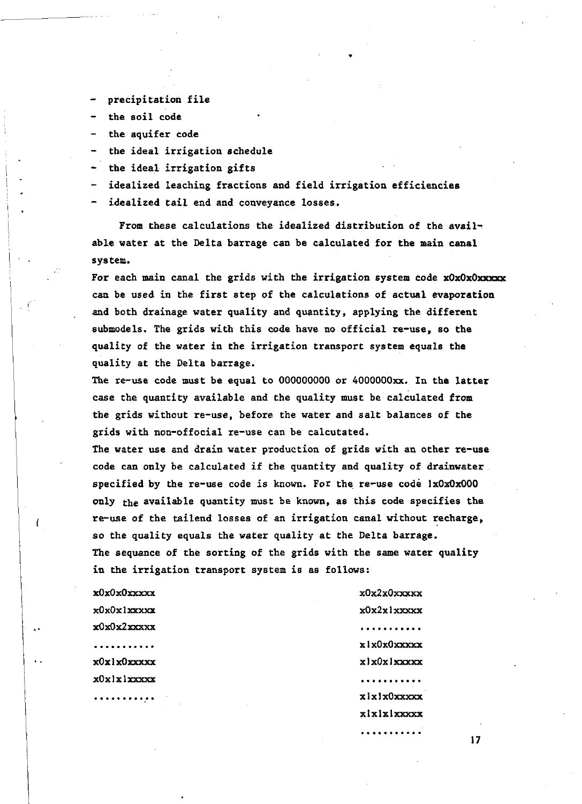- precipitation file
- the soil code
- the aquifer code
- the ideal irrigation schedule
- the ideal irrigation gifts
- idealized leaching fractions and field irrigation efficiencies
- idealized tail end and conveyance losses.

From these calculations the idealized distribution of the available water at the Delta barrage can be calculated for the main canal system.

For each main canal the grids with the irrigation system code x0x0x0xxxxx can be used in the first step of the calculations of actual evaporation and both drainage water quality and quantity, applying the different submodels. The grids with this code have no official re-use, so the quality of the water in the irrigation transport system equals the quality at the Delta barrage.

The re-use code must be equal to 000000000 or 4000000xx. In the latter case the quantity available and the quality must be calculated from the grids without re-use, before the water and salt balances of the grids with non-offocial re-use can be calcutated.

The water use and drain water production of grids with an other re-use code can only be calculated if the quantity and quality of drainwater specified by the re-use code is known. For the re-use code 1x0x0x000 only the available quantity must be known, as this code specifies the re-use of the tailend losses of an irrigation canal without recharge, so the quality equals the water quality at the Delta barrage. The sequance of the sorting of the grids with the same water quality in the irrigation transport system is as follows:

xOxOxOxxxxx x0x2x0xxxxx xOxOxlxxxxx x0x2xlxxxxx x0x0x2xxxxx . . . . . . . . . . . xOxlxOxxxxx xlxOxlxxxxx xOxlxlxxxxx

. . . . . . . . . . .

 $\epsilon$ 

 $\ddot{\phantom{a}}$ 

. . . . . . . . . . . xlxOxOxxxxx . . . . . . . . . . . x1x1xOxxxxx xlxlxlxxxxx

. . . . . . . . .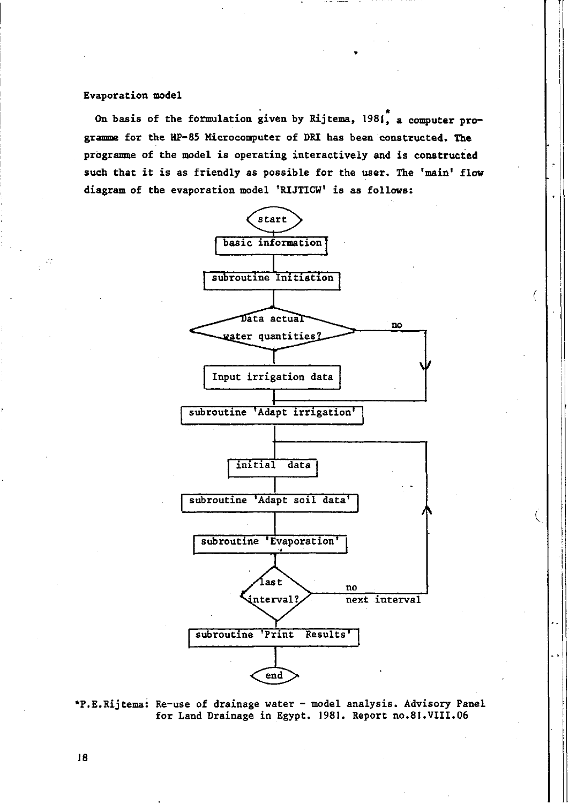## Evaporation model

On basis of the formulation given by Rijtema, 1981, a computer programme for the HP-85 Microcomputer of DRI has been constructed. **The**  programme of the model is operating interactively and is constructed such that it is as friendly as possible for the user. The 'main' **flow**  diagram of the evaporation model 'RIJTICW' is as follows:



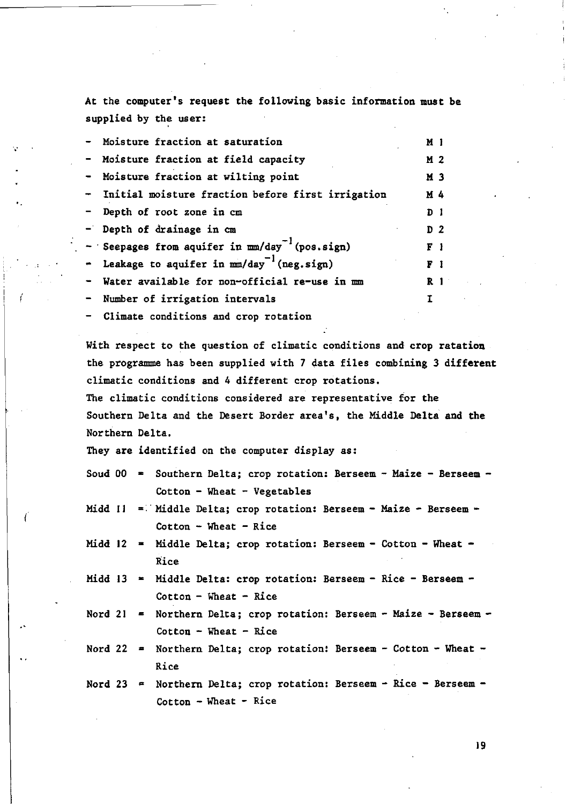**At the computer's request the following basic information must be supplied by the user:** 

| - Moisture fraction at saturation                          | M <sub>1</sub> |  |
|------------------------------------------------------------|----------------|--|
| - Moisture fraction at field capacity                      | M <sub>2</sub> |  |
| - Moisture fraction at wilting point                       | M <sub>3</sub> |  |
| - Initial moisture fraction before first irrigation        | M 4            |  |
| - Depth of root zone in cm                                 | D <sub>1</sub> |  |
| - Depth of drainage in cm                                  | D <sub>2</sub> |  |
| - Seepages from aquifer in mm/day <sup>-1</sup> (pos.sign) | F <sub>1</sub> |  |
| - Leakage to aquifer in $mm/day$ <sup>-1</sup> (neg.sign)  | F <sub>1</sub> |  |
| - Water available for non-official re-use in mm            | R <sub>1</sub> |  |
| - Number of irrigation intervals                           | T              |  |

**- Climate conditions and crop rotation** 

**With respect to the question of climatic conditions and crop ratation the programme has been supplied with 7 data files combining 3 different climatic conditions and 4 different crop rotations. The climatic conditions considered are representative for the** 

**Southern Delta and the Desert Border area's, the Middle Delta and the Northern Delta.** 

**They are identified on the computer display as:** 

|  | Soud $00$ = Southern Delta; crop rotation: Berseem - Maize - Berseem - |
|--|------------------------------------------------------------------------|
|  | $\text{Cottom}$ - Wheat - Vegetables                                   |

Midd I1 = Middle Delta; crop rotation: Berseem - Maize - Berseem -**Cotton - Wheat - Rice** 

**Midd 12 • Middle Delta; crop rotation: Berseem - Cotton - Wheat - Rice** 

**Midd 13 • Middle Delta: crop rotation: Berseem - Rice - Berseem - Cotton - Wheat - Rice** 

**Nord 21 = Northern Delta; crop rotation: Berseem - Maize - Berseem - Cotton - Wheat - Rice** 

**Nord 22 » Northern Delta; crop rotation: Berseem - Cotton - Wheat - Rice** 

**Nord 23 « Northern Delta; crop rotation: Berseem - Rice - Berseem - Cotton - Wheat - Rice**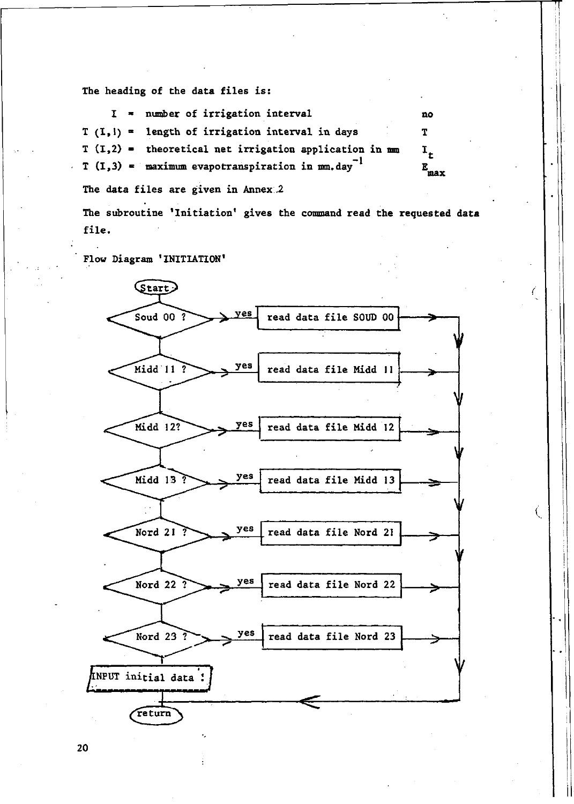# **The heading of the data files is:**

|  | $I =$ number of irrigation interval                            | no          |
|--|----------------------------------------------------------------|-------------|
|  | $T(I, I) =$ length of irrigation interval in days              | Т           |
|  | $T (I,2)$ = theoretical net irrigation application in mm       | $I_{\star}$ |
|  | $T (I,3) =$ maximum evapotranspiration in mm.day <sup>-1</sup> | E<br>max    |
|  | The data files are given in Annex.2                            |             |

**The subroutine 'Initiation' gives the command read the requested data file.** 

**Flow Diagram 'INITIATION'** 

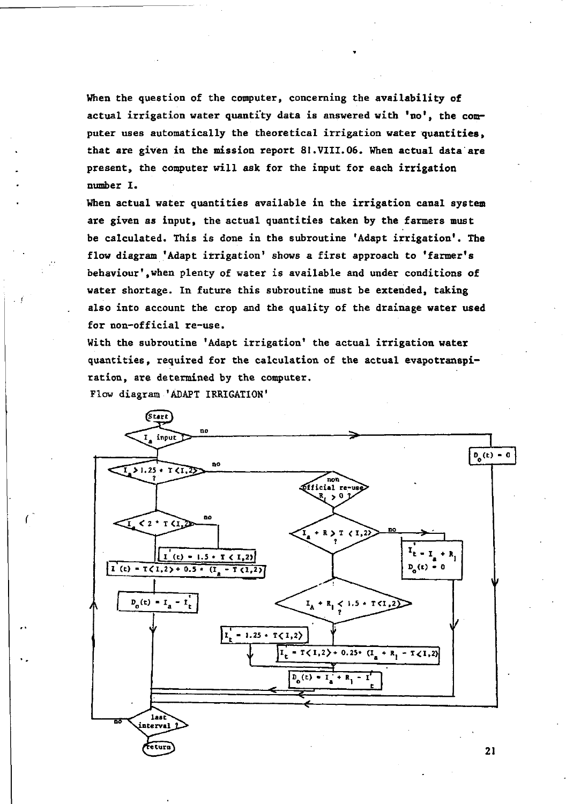**When the question of the computer, concerning the availability of actual irrigation water quantity data is answered with 'no', the computer uses automatically the theoretical irrigation water quantities» that are given in the mission report 81.VIII.06. When actual data are present, the computer will ask for the input for each irrigation number I.** 

**When actual water quantities available in the irrigation canal system are given as input, the actual quantities taken by the farmers must be calculated. This is done in the subroutine 'Adapt irrigation'. The flow diagram 'Adapt irrigation' shows a first approach to 'farmer's behaviour',when plenty of water is available and under conditions of water shortage. In future this subroutine must be extended, taking also into account the crop and the quality of the drainage water used for non-official re-use.** 

**With the subroutine 'Adapt irrigation' the actual irrigation water quantities, required for the calculation of the actual évapotranspiration, are determined by the computer. Flow diagram 'ADAPT IRRIGATION'** 

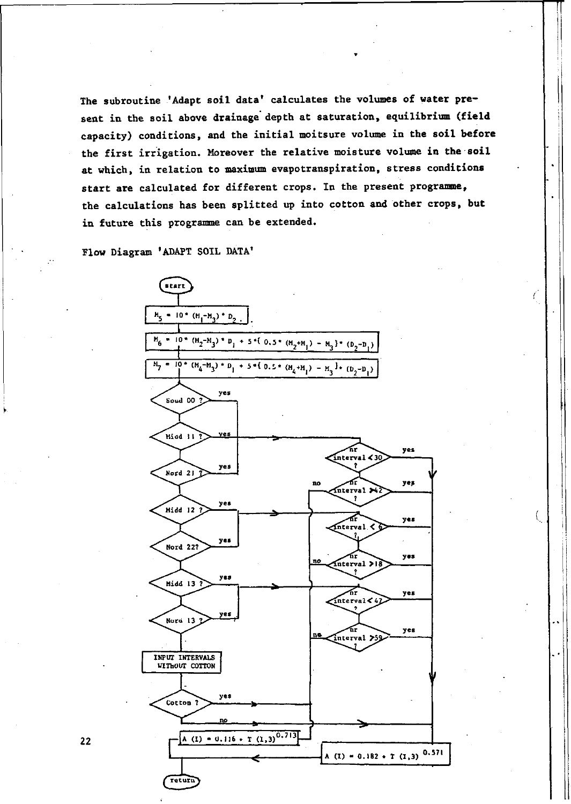The subroutine 'Adapt soil data' calculates the volumes of water present in the soil above drainage" depth at saturation, equilibrium **(field**  capacity) conditions, and the initial moitsure volume in the soil **before**  the first irrigation. Moreover the relative moisture volume in **the soil**  at which, in relation to maximum évapotranspiration, stress conditions start are calculated for different crops. In the present programme, the calculations has been splitted up into cotton and other crops, **but**  in future this programme can be extended.

Flow Diagram 'ADAPT SOIL DATA'

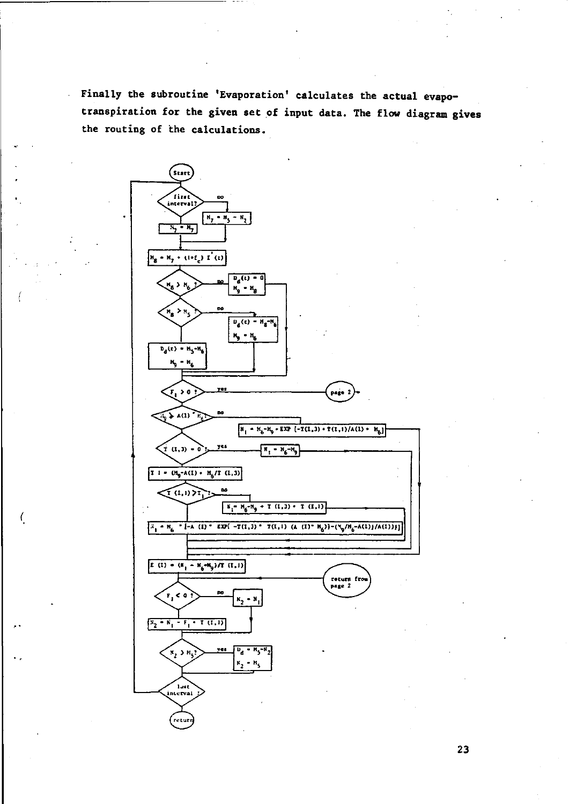Finally the subroutine 'Evaporation' calculates the actual evapotranspiration for the given set of input data. The flow diagram gives the routing of the calculations.

 $\mathcal{L}^{\mathcal{L}}$ 

(

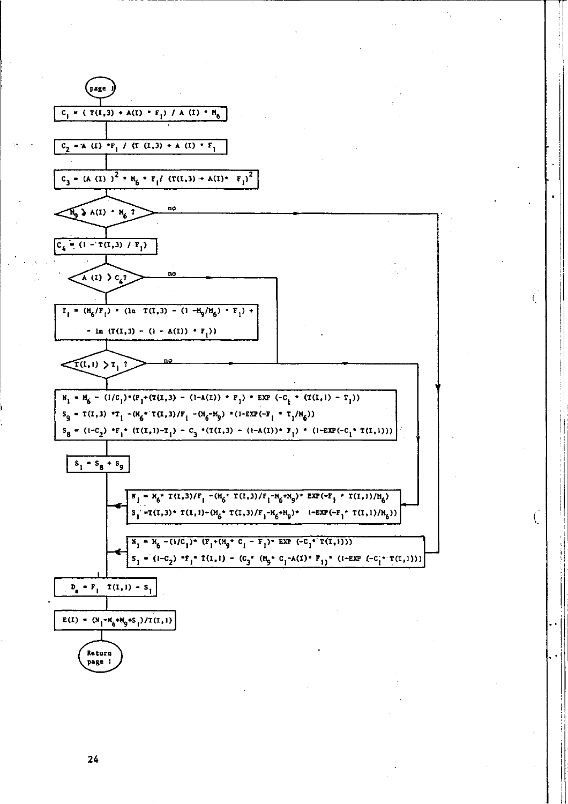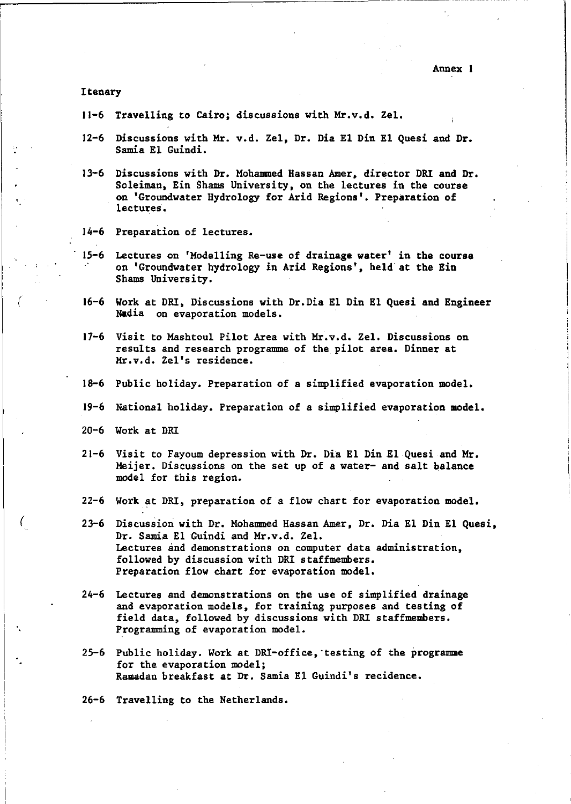#### Itenary

- 11-6 Travelling to Cairo; discussions with Mr.v.d. Zel.
- 12-6 Discussions with Mr. v.d. Zel, Dr. Dia El Din El Quesi and Dr. Samia El Guindi.
- 13-6 Discussions with Dr. Mohammed Hassan Amer, director DRI and Dr. Soleiman, Ein Shams University, on the lectures in the course on 'Groundwater Hydrology for Arid Regions'. Preparation of lectures.
- 14-6 Preparation of lectures.
- 15-6 Lectures on 'Modelling Re-use of drainage water' in the course on 'Groundwater hydrology in Arid Regions', held at the Ein Shams University.
- 16-6 Work at DRI, Discussions with Dr.Dia El Din El Quesi and Engineer Nadia on evaporation models.
- 17-6 Visit to Mashtoul Pilot Area with Mr.v.d. Zel. Discussions on results and research programme of the pilot area. Dinner at Mr.v.d. Zel's residence.
- 18-6 Public holiday. Preparation of a simplified evaporation model.
- 19-6 National holiday. Preparation of a simplified evaporation model.
- 20-6 Work at DRI

€

- 21-6 Visit to Fayoum depression with Dr. Dia El Din El Quesi and Mr. Meijer. Discussions on the set up of a water- and salt balance model for this region.
- 22-6 Work at DRI, preparation of a flow chart for evaporation model.
- 23-6 Discussion with Dr. Mohammed Hassan Amer, Dr. Dia El Din El Quesi, Dr. Samia El Guindi and Mr.v.d. Zel. Lectures and demonstrations on computer data administration, followed by discussion with DRI staffmembers. Preparation flow chart for evaporation model.
- 24-6 Lectures and demonstrations on the use of simplified drainage and evaporation models, for training purposes and testing of field data, followed by discussions with DRI staffmembers. Programming of evaporation model.
- 25-6 Public holiday. Work at DRI-office, testing of the programme for the evaporation model; Ramadan breakfast at Dr. Samia El Guindi's recidence.

26-6 Travelling to the Netherlands.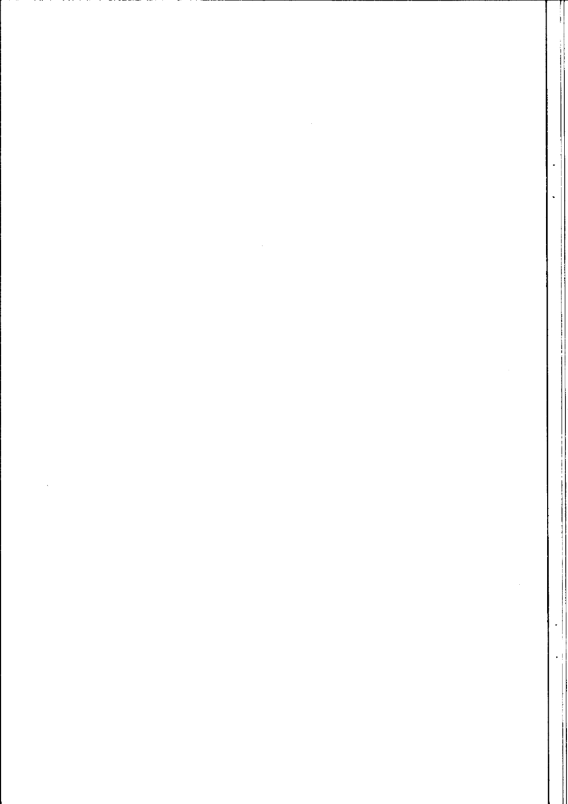$\ddot{\phantom{a}}$ 

 $\label{eq:2.1} \mathcal{L}(\mathcal{L}^{\text{max}}_{\mathcal{L}}(\mathcal{L}^{\text{max}}_{\mathcal{L}}(\mathcal{L}^{\text{max}}_{\mathcal{L}}(\mathcal{L}^{\text{max}}_{\mathcal{L}^{\text{max}}_{\mathcal{L}}})))))$ 

 $\label{eq:2.1} \frac{1}{\sqrt{2}}\left(\frac{1}{\sqrt{2}}\right)^{2} \left(\frac{1}{\sqrt{2}}\right)^{2} \left(\frac{1}{\sqrt{2}}\right)^{2} \left(\frac{1}{\sqrt{2}}\right)^{2} \left(\frac{1}{\sqrt{2}}\right)^{2} \left(\frac{1}{\sqrt{2}}\right)^{2} \left(\frac{1}{\sqrt{2}}\right)^{2} \left(\frac{1}{\sqrt{2}}\right)^{2} \left(\frac{1}{\sqrt{2}}\right)^{2} \left(\frac{1}{\sqrt{2}}\right)^{2} \left(\frac{1}{\sqrt{2}}\right)^{2} \left(\$ 

 $\mathcal{A}^{\text{max}}_{\text{max}}$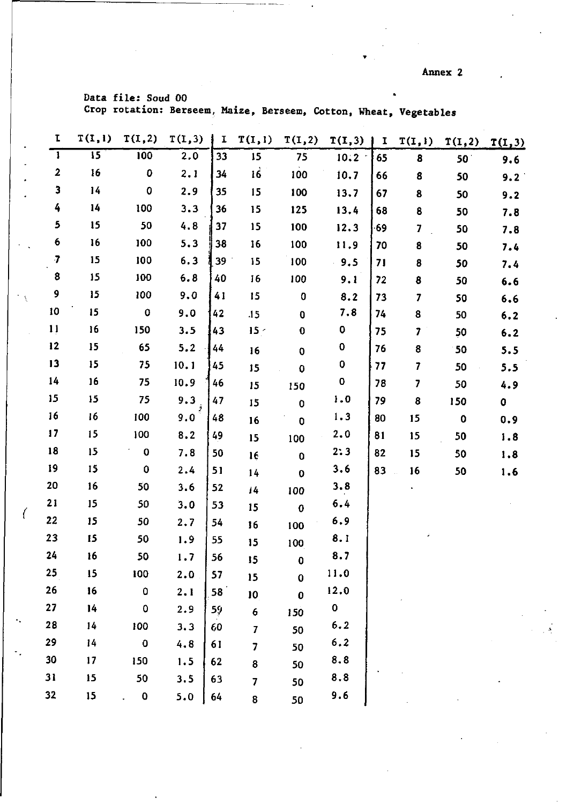**Annex 2** 

b

|                                |                 | Data file: Soud 00 |        |             |                         |             | Crop rotation: Berseem, Maize, Berseem, Cotton, Wheat, Vegetables |              |                         |             |        |
|--------------------------------|-----------------|--------------------|--------|-------------|-------------------------|-------------|-------------------------------------------------------------------|--------------|-------------------------|-------------|--------|
| Ţ                              | T(I, l)         | T(1,2)             | T(I,3) | $\mathbf I$ | T(I,1)                  | T(I,2)      | T(I,3)                                                            | $\mathbf{I}$ | T(I, I)                 | T(I,2)      | T(1,3) |
| $\overline{1}$                 | $\overline{15}$ | 100                | 2.0    | 33          | 15                      | 75          | 10.2                                                              | 65           | 8                       | 50          | 9.6    |
| $\boldsymbol{2}$               | 16              | 0                  | 2.1    | 34          | $1\dot{6}$              | 100         | 10.7                                                              | 66           | 8                       | 50          | 9.2    |
| $\overline{\mathbf{3}}$        | 14              | $\mathbf 0$        | 2.9    | 35          | 15                      | 100         | 13.7                                                              | 67           | 8                       | 50          | 9.2    |
| 4                              | 14              | 100                | 3.3    | 36          | 15                      | 125         | 13.4                                                              | 68           | 8                       | 50          | 7.8    |
| 5                              | 15              | 50                 | 4.8    | 37          | 15                      | 100         | 12.3                                                              | 69           | $\overline{7}$          | 50          | 7.8    |
| $\boldsymbol{6}$               | 16              | 100                | 5.3    | 38          | 16                      | 100         | 11.9                                                              | 70           | 8                       | 50          | 7.4    |
| $\overline{\boldsymbol{\eta}}$ | 15              | 100                | 6.3    | 39          | 15                      | 100         | 9.5                                                               | 71           | 8                       | 50          | 7.4    |
| 8                              | 15              | 100                | 6.8    | 40          | 16                      | 100         | 9.1                                                               | 72           | 8                       | 50          | 6.6    |
| 9                              | 15              | 100                | 9.0    | 41          | 15                      | 0           | 8.2                                                               | 73           | $\overline{7}$          | 50          | 6.6    |
| 10                             | 15              | $\pmb{0}$          | 9.0    | 42          | .15                     | $\mathbf 0$ | 7.8                                                               | 74           | $\bf 8$                 | 50          | 6.2    |
| 11                             | 16              | 150                | 3.5    | 43          | $15 -$                  | $\bf{0}$    | 0                                                                 | 75           | $\overline{\mathbf{z}}$ | 50          | 6.2    |
| 12                             | 15              | 65                 | 5.2    | 44          | 16                      | $\mathbf 0$ | $\mathbf 0$                                                       | 76           | 8                       | 50          | 5.5    |
| 13                             | 15              | 75                 | 10.1   | 45          | 15                      | $\mathbf 0$ | 0                                                                 | 77           | 7                       | 50          | 5.5    |
| 14                             | 16              | 75                 | 10.9   | 46          | 15                      | 150         | $\pmb{0}$                                                         | 78           | 7                       | 50          | 4.9    |
| 15                             | 15              | 75                 | 9.3    | 47          | 15                      | $\mathbf 0$ | 1.0                                                               | 79           | 8                       | 150         | 0      |
| 16                             | 16              | 100                | 9.0    | 48          | 16                      | 0           | 1.3                                                               | 80           | 15                      | $\mathbf 0$ | 0.9    |
| 17                             | 15              | 100                | 8.2    | 49          | 15                      | 100         | 2.0                                                               | 81           | 15                      | 50          | 1.8    |
| 18                             | 15              | $\mathbf 0$        | 7.8    | 50          | 16                      | $\mathbf 0$ | 2:3                                                               | 82           | 15                      | 50          | 1.8    |
| 19                             | 15              | 0                  | 2.4    | 51          | 14                      | $\mathbf 0$ | 3.6                                                               | 83           | 16                      | 50          | 1.6    |
| 20                             | 16              | 50                 | 3.6    | 52          | $\frac{1}{4}$           | 100         | 3.8                                                               |              |                         |             |        |
| 21                             | 15              | 50                 | 3.0    | 53          | 15                      | $\bf{0}$    | 6.4                                                               |              |                         |             |        |
| 22                             | 15              | 50                 | 2.7    | 54          | 16                      | 100         | 6.9                                                               |              |                         |             |        |
| 23                             | 15              | 50                 | 1.9    | 55          | 15                      | 100         | 8.1                                                               |              |                         |             |        |
| 24                             | 16              | 50                 | 1.7    | 56          | 15                      | $\pmb{0}$   | 8.7                                                               |              |                         |             |        |
| 25                             | 15              | 100                | 2.0    | 57          | 15                      | $\mathbf 0$ | 11.0                                                              |              |                         |             |        |
| 26                             | 16              | $\pmb{0}$          | 2.1    | 58          | 10 <sub>1</sub>         | $\mathbf 0$ | 12.0                                                              |              |                         |             |        |
| 27                             | 14              | $\pmb{0}$          | 2.9    | 59          | 6                       | 150         | $\mathbf 0$                                                       |              |                         |             |        |
| 28                             | 14              | 100                | 3.3    | 60          | $\overline{I}$          | 50          | 6.2                                                               |              |                         |             |        |
| 29                             | 14              | $\pmb{0}$          | 4.8    | 61          | $\overline{\mathbf{z}}$ | 50          | 6.2                                                               |              |                         |             |        |
| 30                             | 17              | 150                | 1.5    | 62          | 8                       | 50          | 8.8                                                               |              |                         |             |        |
| 31                             | 15              | 50                 | 3.5    | 63          | $\overline{\mathbf{z}}$ | 50          | 8.8                                                               |              |                         |             |        |
| 32                             | 15              | $\pmb{0}$          | 5.0    | 64          | 8                       | 50          | 9.6                                                               |              |                         |             |        |

Ĩ,

 $\big($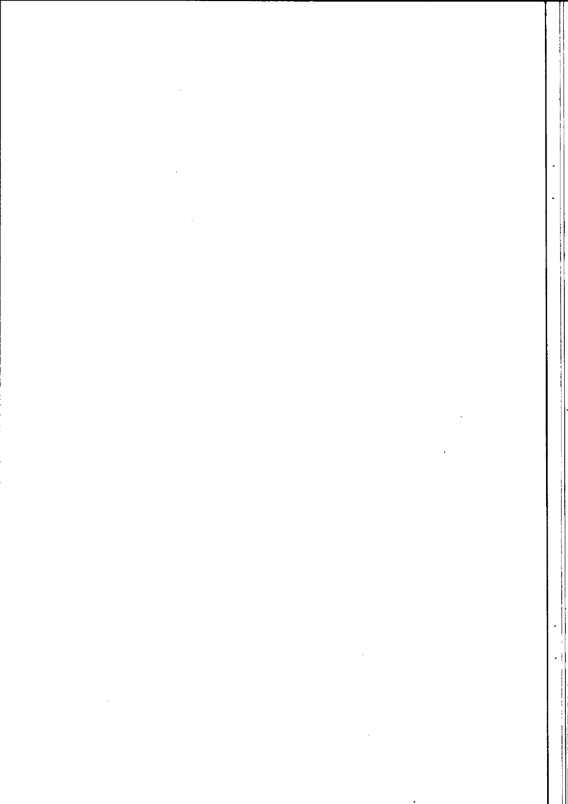$\label{eq:2.1} \frac{1}{\sqrt{2}}\left(\frac{1}{\sqrt{2}}\right)^{2} \left(\frac{1}{\sqrt{2}}\right)^{2} \left(\frac{1}{\sqrt{2}}\right)^{2} \left(\frac{1}{\sqrt{2}}\right)^{2} \left(\frac{1}{\sqrt{2}}\right)^{2} \left(\frac{1}{\sqrt{2}}\right)^{2} \left(\frac{1}{\sqrt{2}}\right)^{2} \left(\frac{1}{\sqrt{2}}\right)^{2} \left(\frac{1}{\sqrt{2}}\right)^{2} \left(\frac{1}{\sqrt{2}}\right)^{2} \left(\frac{1}{\sqrt{2}}\right)^{2} \left(\$ 

 $\label{eq:2.1} \frac{1}{\sqrt{2}}\int_{\mathbb{R}^3}\frac{1}{\sqrt{2}}\left(\frac{1}{\sqrt{2}}\right)^2\frac{1}{\sqrt{2}}\left(\frac{1}{\sqrt{2}}\right)^2\frac{1}{\sqrt{2}}\left(\frac{1}{\sqrt{2}}\right)^2\frac{1}{\sqrt{2}}\left(\frac{1}{\sqrt{2}}\right)^2\frac{1}{\sqrt{2}}\left(\frac{1}{\sqrt{2}}\right)^2\frac{1}{\sqrt{2}}\frac{1}{\sqrt{2}}\frac{1}{\sqrt{2}}\frac{1}{\sqrt{2}}\frac{1}{\sqrt{2}}\frac{1}{\sqrt{2}}$ 

 $\label{eq:2.1} \mathcal{L}(\mathcal{L}^{\mathcal{L}}_{\mathcal{L}}(\mathcal{L}^{\mathcal{L}}_{\mathcal{L}})) = \mathcal{L}(\mathcal{L}^{\mathcal{L}}_{\mathcal{L}}(\mathcal{L}^{\mathcal{L}}_{\mathcal{L}})) = \mathcal{L}(\mathcal{L}^{\mathcal{L}}_{\mathcal{L}}(\mathcal{L}^{\mathcal{L}}_{\mathcal{L}}))$ 

 $\label{eq:2.1} \frac{1}{\sqrt{2\pi}}\int_{\mathbb{R}^3}\frac{1}{\sqrt{2\pi}}\left(\frac{1}{\sqrt{2\pi}}\right)^2\frac{1}{\sqrt{2\pi}}\int_{\mathbb{R}^3}\frac{1}{\sqrt{2\pi}}\frac{1}{\sqrt{2\pi}}\frac{1}{\sqrt{2\pi}}\frac{1}{\sqrt{2\pi}}\frac{1}{\sqrt{2\pi}}\frac{1}{\sqrt{2\pi}}\frac{1}{\sqrt{2\pi}}\frac{1}{\sqrt{2\pi}}\frac{1}{\sqrt{2\pi}}\frac{1}{\sqrt{2\pi}}\frac{1}{\sqrt{2\pi}}\frac{$ 

 $\label{eq:2.1} \frac{1}{2} \int_{\mathbb{R}^3} \frac{1}{\sqrt{2}} \, \frac{1}{\sqrt{2}} \, \frac{1}{\sqrt{2}} \, \frac{1}{\sqrt{2}} \, \frac{1}{\sqrt{2}} \, \frac{1}{\sqrt{2}} \, \frac{1}{\sqrt{2}} \, \frac{1}{\sqrt{2}} \, \frac{1}{\sqrt{2}} \, \frac{1}{\sqrt{2}} \, \frac{1}{\sqrt{2}} \, \frac{1}{\sqrt{2}} \, \frac{1}{\sqrt{2}} \, \frac{1}{\sqrt{2}} \, \frac{1}{\sqrt{2}} \, \frac{1}{\sqrt{2}} \,$  $\label{eq:2.1} \frac{1}{\sqrt{2}}\int_{\mathbb{R}^3}\frac{1}{\sqrt{2}}\left(\frac{1}{\sqrt{2}}\right)^2\frac{1}{\sqrt{2}}\left(\frac{1}{\sqrt{2}}\right)^2\frac{1}{\sqrt{2}}\left(\frac{1}{\sqrt{2}}\right)^2\frac{1}{\sqrt{2}}\left(\frac{1}{\sqrt{2}}\right)^2.$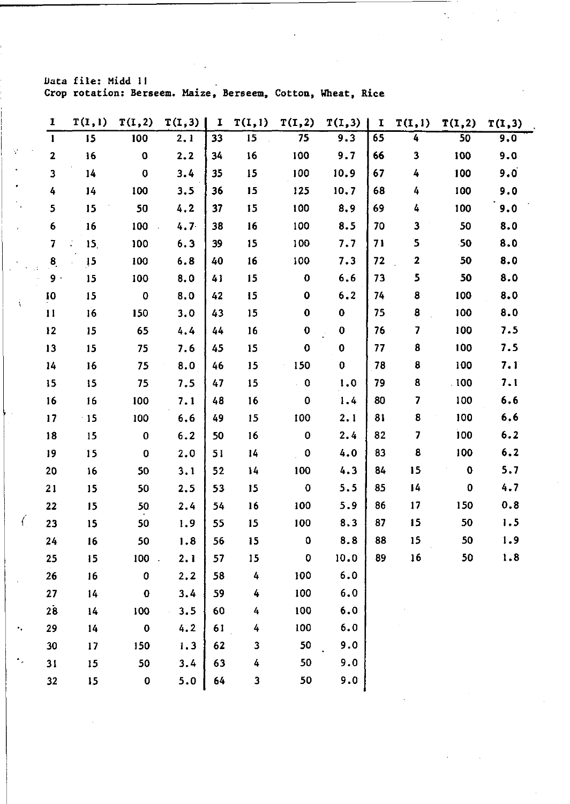**Data file: Midd 11**  Crop rotation: Berseem. Maize, Berseem, Cotton, Whea

V.

÷

 $\left\{ \right.$ 

| $\mathbf{I}$ | T(1,1) | T(I,2)              | T(I,3) | I  | T(I,1) | T(I, 2)   | T(I,3)    | $\mathbf I$ | T(I, I)      | T(1,2)      | T(I, 3) |
|--------------|--------|---------------------|--------|----|--------|-----------|-----------|-------------|--------------|-------------|---------|
| $\mathbf{1}$ | 15     | 100                 | 2,1    | 33 | 15     | 75        | 9.3       | 65          | 4            | 50          | 9.0     |
| $\mathbf{2}$ | 16     | $\bf{0}$            | 2.2    | 34 | 16     | 100       | 9.7       | 66          | 3            | 100         | 9.0     |
| 3            | 14     | $\pmb{0}$           | 3.4    | 35 | 15     | 100       | 10.9      | 67          | 4            | 100         | 9.0     |
| 4            | 14     | 100                 | 3.5    | 36 | 15     | 125       | 10.7      | 68          | 4            | 100         | 9.0     |
| 5            | 15     | 50                  | 4.2    | 37 | 15     | 100       | 8.9       | 69          | 4            | 100         | 9.0     |
| 6            | 16     | 100                 | 4.7    | 38 | 16     | 100       | 8.5       | 70          | $\mathbf{3}$ | 50          | 8.0     |
| 7            | 15.    | 100                 | 6.3    | 39 | 15     | 100       | 7.7       | 71          | 5            | 50          | 8.0     |
| 8.           | 15     | 100                 | 6.8    | 40 | 16     | 100       | 7.3       | 72          | $\mathbf{2}$ | 50          | 8.0     |
| 9.           | 15     | 100                 | 8.0    | 41 | 15     | 0         | 6.6       | 73          | 5            | 50          | 8.0     |
| 10           | 15     | $\bf{0}$            | 8.0    | 42 | 15     | 0         | 6.2       | 74          | 8            | 100         | 8.0     |
| 11           | 16     | 150                 | 3.0    | 43 | 15     | 0         | 0         | 75          | 8            | 100         | 8.0     |
| 12           | 15     | 65                  | 4,4    | 44 | 16     | 0         | 0         | 76          | 7            | 100         | 7.5     |
| 13           | 15     | 75                  | 7.6    | 45 | 15     | 0         | $\bf{0}$  | 77          | 8            | 100         | 7.5     |
| 14           | 16     | 75                  | 8.0    | 46 | 15     | 150       | $\pmb{0}$ | 78          | 8            | 100         | 7.1     |
| 15           | 15     | 75                  | 7.5    | 47 | 15     | $\bf{0}$  | 1.0       | 79          | 8            | .100        | 7.1     |
| 16           | 16     | 100                 | 7.1    | 48 | 16     | $\bf{0}$  | 1.4       | 80          | 7            | 100         | 6.6     |
| 17           | $-15$  | 100                 | 6.6    | 49 | 15     | 100       | 2.1       | 81          | 8            | 100         | 6.6     |
| 18           | 15     | $\bf{0}$            | 6.2    | 50 | 16     | 0         | 2.4       | 82          | 7            | 100         | 6.2     |
| 19           | 15     | $\mathbf 0$         | 2.0    | 51 | 14     | $\bf{0}$  | 4.0       | 83          | 8            | 100         | 6.2     |
| 20           | 16     | 50                  | 3.1    | 52 | 14     | 100       | 4.3       | 84          | 15           | $\pmb{0}$   | 5.7     |
| 21           | 15     | 50                  | 2.5    | 53 | 15     | $\bf{0}$  | 5.5       | 85          | 14           | $\mathbf 0$ | 4.7     |
| 22           | 15     | 50                  | 2.4    | 54 | 16     | 100       | 5.9       | 86          | 17           | 150         | 0.8     |
| 23           | 15     | 50                  | 1.9    | 55 | 15     | 100       | 8.3       | 87          | 15           | 50          | 1.5     |
| 24           | 16     | 50                  | 1.8    | 56 | 15     | 0         | 8.8       | 88          | 15           | 50          | 1.9     |
| 25           | 15     | 100<br>$\mathbf{r}$ | 2.1    | 57 | 15     | $\pmb{0}$ | 10.0      | 89          | 16           | 50          | 1.8     |
| 26           | 16     | $\pmb{0}$           | 2.2    | 58 | 4      | 100       | 6.0       |             |              |             |         |
| 27           | 14     | $\pmb{0}$           | 3.4    | 59 | 4      | 100       | 6.0       |             |              |             |         |
| 28           | 14     | 100                 | 3.5    | 60 | 4      | 100       | 6.0       |             |              |             |         |
| 29           | 14     | $\mathbf 0$         | 4.2    | 61 | 4      | 100       | 6.0       |             |              |             |         |
| 30           | 17     | 150                 | 1, 3   | 62 | 3      | 50        | 9.0       |             |              |             |         |
| 31           | 15     | 50                  | 3.4    | 63 | 4      | 50        | 9.0       |             |              |             |         |
| 32           | 15     | $\pmb{0}$           | 5.0    | 64 | 3      | 50        | 9.0       |             |              |             |         |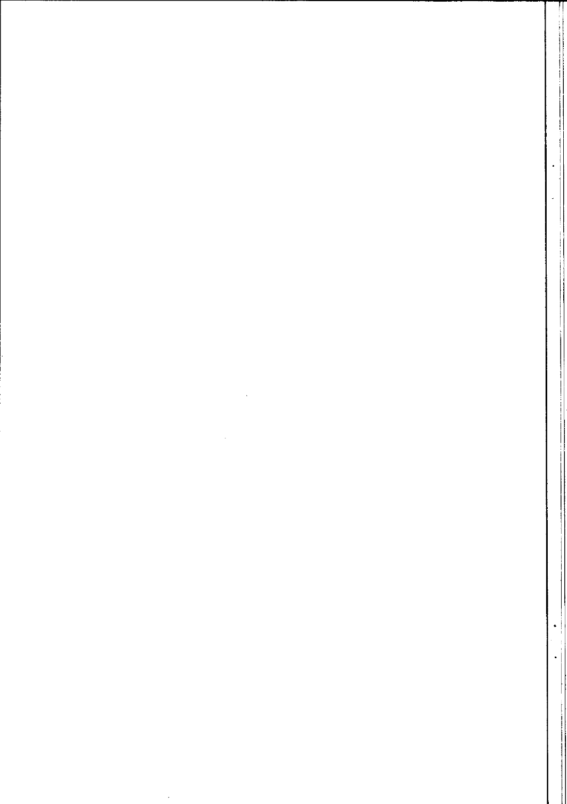$\mathcal{L}^{\text{max}}_{\text{max}}$  . The  $\mathcal{L}^{\text{max}}_{\text{max}}$ 

 $\mathcal{L}^{\text{max}}_{\text{max}}$  and  $\mathcal{L}^{\text{max}}_{\text{max}}$ 

 $\ddot{\phantom{a}}$ 

.

 $\ddot{\phantom{1}}$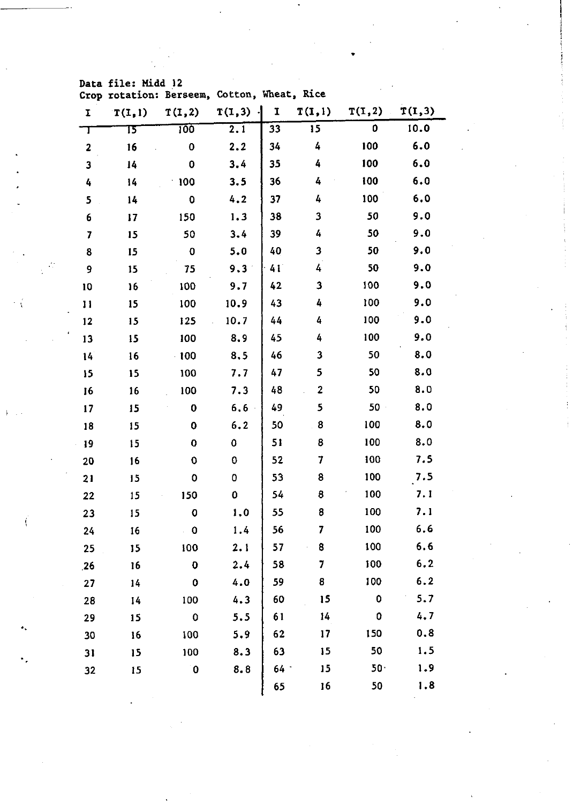Data file: Midd

Crop rotation: Berseem, Cotton, Wheat, Ric

| I            | T(I, I)   | T(1,2)      | T(I,3)<br>- 1      | I   | T(I, l)                 | T(I,2) | T(I,3) |
|--------------|-----------|-------------|--------------------|-----|-------------------------|--------|--------|
|              | <u>12</u> | 100         | $\overline{2.1}$   | 33  | 15                      | 0      | 10.0   |
| $\mathbf 2$  | 16        | $\pmb{0}$   | 2.2                | 34  | 4                       | 100    | 6.0    |
| 3            | 14        | 0           | 3.4                | 35  | 4                       | 100    | 6.0    |
| 4            | 14        | 100         | 3.5                | 36  | 4                       | 100    | 6.0    |
| 5            | 14        | $\mathbf 0$ | 4.2                | 37  | 4                       | 100    | 6.0    |
| 6            | 17        | 150         | 1.3                | 38  | 3                       | 50     | 9.0    |
| 7            | 15        | 50          | 3.4                | 39  | 4                       | 50     | 9.0    |
| 8            | 15        | $\mathbf 0$ | 5.0                | 40  | 3                       | 50     | 9.0    |
| 9            | 15        | 75          | 9.3 <sup>°</sup>   | 41  | 4                       | 50     | 9.0    |
| 10           | 16        | 100         | 9.7                | 42  | 3                       | 100    | 9.0    |
| $\mathbf{1}$ | 15        | 100         | 10.9               | 43  | 4                       | 100    | 9.0    |
| 12           | 15        | 125         | 10.7               | 44  | 4                       | 100    | 9.0    |
| 13           | 15        | 100         | 8.9                | 45  | 4                       | 100    | 9.0    |
| 14           | 16        | 100         | 8.5                | 46  | 3                       | 50     | 8.0    |
| 15           | 15        | 100         | 7.7                | 47  | 5                       | 50     | 8.0    |
| 16           | 16        | 100         | 7.3                | 48  | $\boldsymbol{2}$        | 50     | 8.0    |
| 17           | 15        | 0           | 6.6                | 49  | 5                       | 50     | 8.0    |
| 18           | 15        | 0           | 6.2                | 50  | 8                       | 100    | 8.0    |
| 19           | 15        | 0           | $\pmb{\mathsf{O}}$ | 51  | 8                       | 100    | 8.0    |
| 20           | 16        | 0           | 0                  | 52  | $\overline{\mathbf{I}}$ | 100    | 7.5    |
| 21           | 15        | 0           | 0                  | 53  | 8                       | 100    | 7.5    |
| 22           | 15        | 150         | $\bf{0}$           | 54  | 8                       | 100    | 7.1    |
| 23           | 15        | 0           | 1.0                | 55  | 8                       | 100    | 7.1    |
| 24           | 16        | 0           | 1.4                | 56  | 7                       | 100    | 6.6    |
| 25           | 15        | 100         | 2.1                | 57  | 8                       | 100    | 6.6    |
| .26          | 16        | 0           | 2.4                | 58  | 7                       | 100    | 6.2    |
| 27           | 14        | 0           | 4.0                | 59  | 8                       | 100    | 6.2    |
| 28           | 14        | 100         | 4.3                | 60  | 15                      | 0      | 5.7    |
| 29           | 15        | $\bf{0}$    | 5.5                | 61  | 14                      | 0      | 4.7    |
| 30           | 16        | 100         | 5.9                | 62  | 17                      | 150    | 0.8    |
| 31           | 15        | 100         | 8.3                | 63  | 15                      | 50     | 1.5    |
| 32           | 15        | $\bf{0}$    | 8.8                | 64. | 15                      | $50 -$ | 1.9    |
|              |           |             |                    | 65  | 16                      | 50     | 1.8    |

Ø.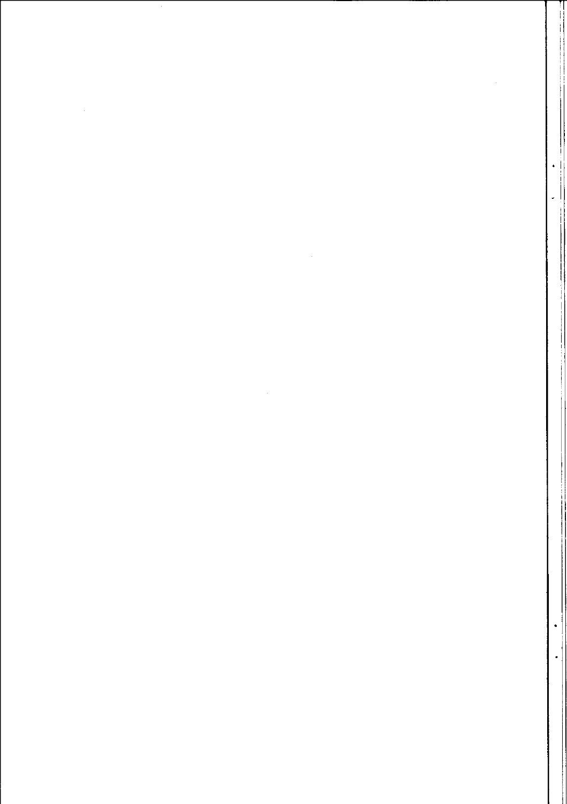$\ddot{\phantom{1}}$ 

 $\ddot{\phantom{0}}$ 

 $\bullet$ 

 $\label{eq:2.1} \frac{1}{\sqrt{2}}\left(\frac{1}{\sqrt{2}}\right)^{2} \left(\frac{1}{\sqrt{2}}\right)^{2} \left(\frac{1}{\sqrt{2}}\right)^{2} \left(\frac{1}{\sqrt{2}}\right)^{2} \left(\frac{1}{\sqrt{2}}\right)^{2} \left(\frac{1}{\sqrt{2}}\right)^{2} \left(\frac{1}{\sqrt{2}}\right)^{2} \left(\frac{1}{\sqrt{2}}\right)^{2} \left(\frac{1}{\sqrt{2}}\right)^{2} \left(\frac{1}{\sqrt{2}}\right)^{2} \left(\frac{1}{\sqrt{2}}\right)^{2} \left(\$  $\label{eq:2.1} \frac{1}{\sqrt{2}}\int_{\mathbb{R}^3}\frac{1}{\sqrt{2}}\left(\frac{1}{\sqrt{2}}\right)^2\frac{1}{\sqrt{2}}\left(\frac{1}{\sqrt{2}}\right)^2\frac{1}{\sqrt{2}}\left(\frac{1}{\sqrt{2}}\right)^2\frac{1}{\sqrt{2}}\left(\frac{1}{\sqrt{2}}\right)^2\frac{1}{\sqrt{2}}\left(\frac{1}{\sqrt{2}}\right)^2\frac{1}{\sqrt{2}}\frac{1}{\sqrt{2}}\frac{1}{\sqrt{2}}\frac{1}{\sqrt{2}}\frac{1}{\sqrt{2}}\frac{1}{\sqrt{2}}$ 

 $\hat{\boldsymbol{\theta}}$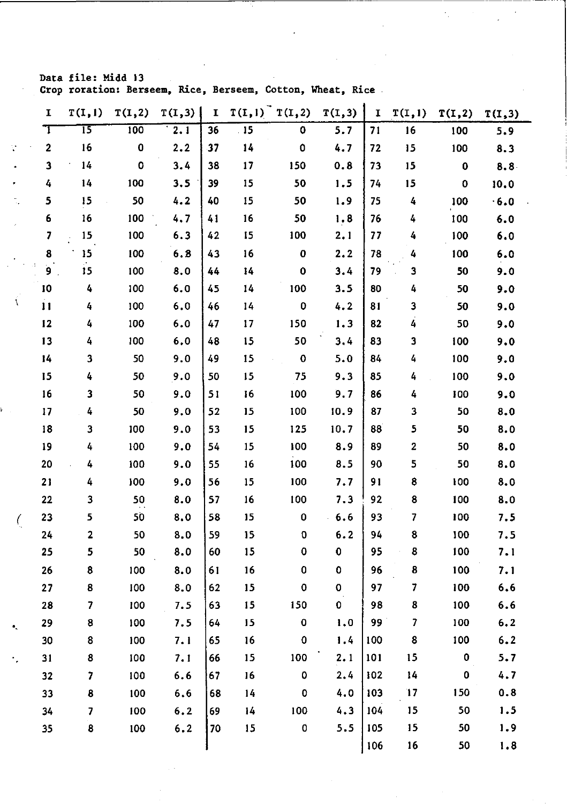**Data file: M idd 13** 

 $\mathbb{C}^{\bullet}$ 

**Crop roration: Berseem, Rice , Berseem, Cotton, Wheat, Rice** 

|                    | $\mathbf I$      | T(I, I)         | T(I,2)      | T(I,3) | $\mathbf{I}$ | $T(I, I)$ $T(I, 2)$ |                    | T(1,3)             | $\mathbf I$ | T(I, I)     | T(I,2)    | T(I,3)  |  |
|--------------------|------------------|-----------------|-------------|--------|--------------|---------------------|--------------------|--------------------|-------------|-------------|-----------|---------|--|
|                    | T                | $\overline{15}$ | 100         | 2.1    | 36           | .15                 | 0                  | 5,7                | 71          | 16          | 100       | 5.9     |  |
|                    | $\boldsymbol{2}$ | 16              | $\bf{0}$    | 2.2    | 37           | 14                  | 0                  | 4.7                | 72          | 15          | 100       | 8.3     |  |
|                    | 3                | 14              | $\mathbf 0$ | 3.4    | 38           | 17                  | 150                | 0.8                | 73          | 15          | $\pmb{0}$ | $8.8 -$ |  |
|                    | 4                | 14              | 100         | 3.5    | 39           | 15                  | 50                 | 1.5                | 74          | 15          | $\pmb{0}$ | 10.0    |  |
|                    | 5                | 15              | 50          | 4.2    | 40           | 15                  | 50                 | 1.9                | 75          | 4           | 100       | 6.0     |  |
|                    | 6                | 16              | 100         | 4.7    | 41           | 16                  | 50                 | 1.8                | 76          | 4           | 100       | 6.0     |  |
|                    | 7                | 15              | 100         | 6.3    | 42           | 15                  | 100                | 2.1                | 77          | 4           | 100       | 6.0     |  |
|                    | 8                | 15              | 100         | 6.8    | 43           | 16                  | $\bf{0}$           | 2.2                | 78          | 4           | 100       | 6.0     |  |
|                    | 。<br>9           | 15              | 100         | 8,0    | 44           | 14                  | 0                  | 3.4                | 79          | 3           | 50        | 9.0     |  |
|                    | 10               | 4               | 100         | 6.0    | 45           | 14                  | 100                | 3.5                | 80          | 4           | 50        | 9.0     |  |
| $\hat{\mathbf{V}}$ | $\overline{11}$  | 4               | 100         | 6.0    | 46           | 14                  | $\pmb{0}$          | 4.2                | 81          | 3           | 50        | 9.0     |  |
|                    | 12               | 4               | 100         | 6.0    | 47           | 17                  | 150                | 1.3                | 82          | 4           | 50        | 9.0     |  |
|                    | 13               | 4               | 100         | 6.0    | 48           | 15                  | 50                 | 3,4                | 83          | 3           | 100       | 9.0     |  |
|                    | 14               | 3               | 50          | 9.0    | 49           | 15                  | $\pmb{0}$          | 5.0                | 84          | 4           | 100       | 9.0     |  |
|                    | 15               | 4               | 50          | 9.0    | 50           | 15                  | 75                 | 9.3                | 85          | 4           | 100       | 9.0     |  |
|                    | 16               | 3               | 50          | 9.0    | 51           | 16                  | 100                | 9.7                | 86          | 4           | 100       | 9.0     |  |
|                    | 17               | 4               | 50          | 9.0    | 52           | 15                  | 100                | 10.9               | 87          | 3           | 50        | 8.0     |  |
|                    | 18               | 3               | 100         | 9.0    | 53           | 15                  | 125                | 10.7               | 88          | 5           | 50        | 8.0     |  |
|                    | 19               | 4               | 100         | 9.0    | 54           | 15                  | 100                | 8.9                | 89          | $\mathbf 2$ | 50        | 8.0     |  |
|                    | 20               | 4               | 100         | 9.0    | 55           | 16                  | 100                | 8.5                | 90          | 5           | 50        | 8.0     |  |
|                    | 21               | 4               | 100         | 9.0    | 56           | 15                  | 100                | 7.7                | 91          | 8           | 100       | 8.0     |  |
|                    | 22               | 3               | 50          | 8.0    | 57           | 16                  | 100                | 7.3                | 92          | 8           | 100       | 8.0     |  |
| $\left($           | 23               | 5               | 50          | 8.0    | 58           | 15                  | $\pmb{0}$          | 6.6                | 93          | 7           | 100       | 7.5     |  |
|                    | 24               | 2               | 50          | 8.0    | 59           | 15                  | 0                  | 6.2                | 94          | 8           | 100       | 7.5     |  |
|                    | 25               | 5               | 50          | 8.0    | 60           | 15                  | 0                  | $\pmb{0}$          | 95          | 8           | 100       | 7.1     |  |
|                    | 26               | 8               | 100         | 8.0    | 61           | 16                  | $\pmb{0}$          | $\pmb{\mathsf{O}}$ | 96          | 8           | 100       | 7.1     |  |
|                    | 27               | 8               | 100         | 8.0    | 62           | 15                  | $\pmb{0}$          | $\mathbf 0$        | 97          | 7           | 100       | 6.6     |  |
|                    | 28               | 7               | 100         | 7.5    | 63           | 15                  | 150                | $\mathbf 0$        | 98          | 8           | 100       | 6.6     |  |
|                    | 29               | 8               | 100         | 7.5    | 64           | 15                  | $\pmb{0}$          | 1.0                | 99          | 7           | 100       | 6.2     |  |
|                    | 30               | 8               | 100         | 7.1    | 65           | 16                  | $\pmb{0}$          | 1.4                | 100         | 8           | 100       | 6.2     |  |
|                    | 31               | 8               | 100         | 7.1    | 66           | 15                  | 100                | 2.1                | 101         | 15          | 0         | 5.7     |  |
|                    | 32               | 7               | 100         | 6.6    | 67           | 16                  | $\pmb{\mathsf{O}}$ | 2.4                | 102         | 14          | 0         | 4.7     |  |
|                    | 33               | 8               | 100         | 6.6    | 68           | 14                  | $\mathbf 0$        | 4.0                | 103         | 17          | 150       | 0.8     |  |
|                    | 34               | 7               | 100         | 6.2    | 69           | 14                  | 100                | 4.3                | 104         | 15          | 50        | 1.5     |  |
|                    | 35               | 8               | 100         | 6.2    | 70           | 15                  | $\mathbf 0$        | 5.5                | 105         | 15          | 50        | 1.9     |  |
|                    |                  |                 |             |        |              |                     |                    |                    | 106         | 16          | 50        | 1.8     |  |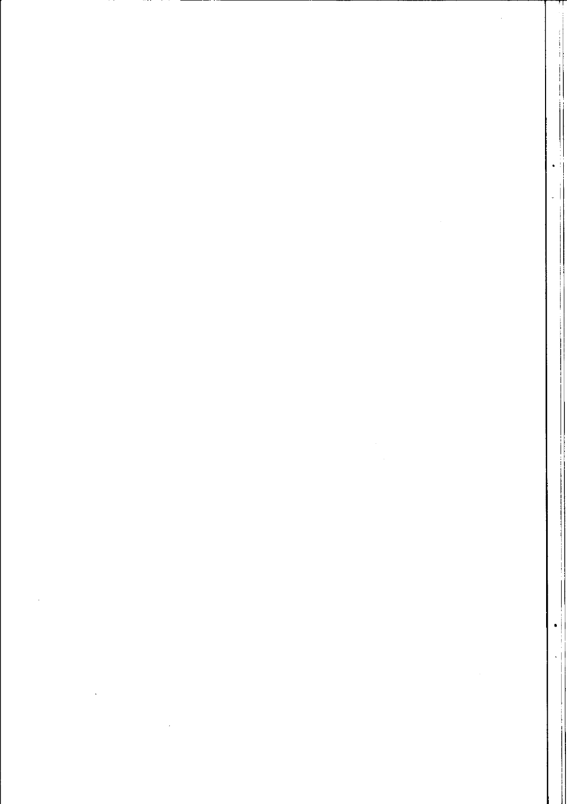$\hat{\mathcal{A}}$ 

 $\label{eq:2} \frac{1}{\sqrt{2}}\sum_{i=1}^n\frac{1}{\sqrt{2}}\sum_{i=1}^n\frac{1}{\sqrt{2}}\sum_{i=1}^n\frac{1}{\sqrt{2}}\sum_{i=1}^n\frac{1}{\sqrt{2}}\sum_{i=1}^n\frac{1}{\sqrt{2}}\sum_{i=1}^n\frac{1}{\sqrt{2}}\sum_{i=1}^n\frac{1}{\sqrt{2}}\sum_{i=1}^n\frac{1}{\sqrt{2}}\sum_{i=1}^n\frac{1}{\sqrt{2}}\sum_{i=1}^n\frac{1}{\sqrt{2}}\sum_{i=1}^n\frac{1$ 

 $\label{eq:2.1} \frac{1}{\sqrt{2}}\int_{0}^{\infty}\frac{1}{\sqrt{2\pi}}\left(\frac{1}{\sqrt{2\pi}}\right)^{2}d\mu\left(\frac{1}{\sqrt{2\pi}}\right) \frac{d\mu}{\sqrt{2\pi}}\,.$ 

 $\alpha_{\rm{eff}}$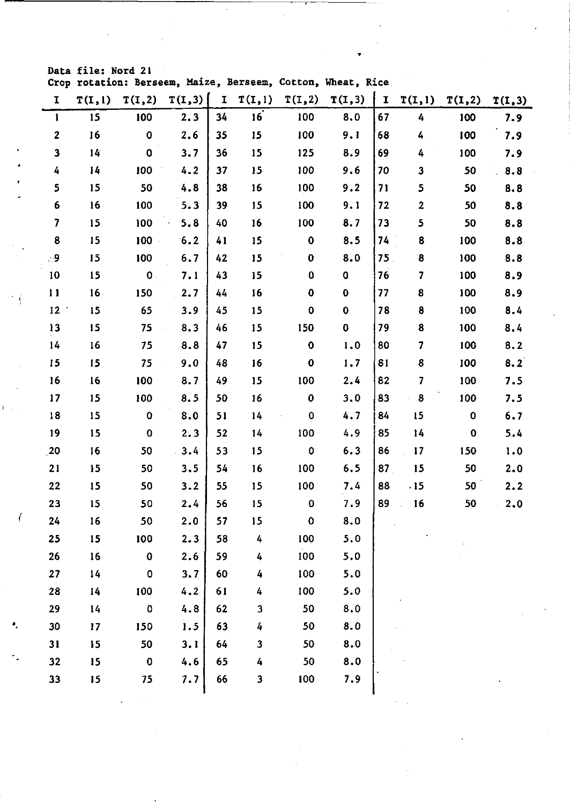**Data file: Nord 21** 

ŀ.

**Crop**  rotation: Berseem, Maize, Berseem, Cotton, Wheat, Ric

| I            | T(I,1) | T(I,2)      | T(I, 3) | $\mathbf{I}$ | T(I,1)       | T(I,2)      | T(I,3)      | $\mathbf I$     | T(I,1)                  | T(I,2)      | T(1,3) |
|--------------|--------|-------------|---------|--------------|--------------|-------------|-------------|-----------------|-------------------------|-------------|--------|
| ł            | 15     | 100         | 2.3     | 34           | 16           | 100         | 8.0         | 67              | 4                       | 100         | 7.9    |
| $\mathbf{2}$ | 16     | $\mathbf 0$ | 2.6     | 35           | 15           | 100         | 9.1         | 68              | 4 <sup>1</sup>          | 100         | 7.9    |
| 3            | 14     | $\pmb{0}$   | 3.7     | 36           | 15           | 125         | 8.9         | 69              | 4                       | 100         | 7.9    |
| 4            | 14     | 100         | 4.2     | 37           | 15           | 100         | 9.6         | 70              | 3                       | 50          | 8.8    |
| 5            | 15     | 50          | 4.8     | 38           | 16           | 100         | 9.2         | 71              | 5                       | 50          | 8.8    |
| 6            | 16     | 100         | 5.3     | 39           | 15           | 100         | 9.1         | 72              | $\overline{\mathbf{c}}$ | 50          | 8.8    |
| 7            | 15     | 100         | 5.8     | 40           | 16           | 100         | 8.7         | 73              | 5                       | 50          | 8.8    |
| 8            | 15     | 100         | 6.2     | 41           | 15           | $\mathbf 0$ | 8.5         | 74              | 8                       | 100         | 8.8    |
| $\cdot$ 9    | 15     | 100         | 6.7     | 42           | 15           | 0           | 8.0         | 75 <sub>1</sub> | 8                       | 100         | 8.8    |
| 10           | 15     | $\mathbf 0$ | 7.1     | 43           | 15           | $\pmb{0}$   | $\mathbf 0$ | 76              | 7                       | 100         | 8.9    |
| 11           | 16     | 150         | 2.7     | 44           | 16           | $\mathbf 0$ | $\pmb{0}$   | 77              | 8                       | 100         | 8.9    |
| 12           | 15     | 65          | 3.9     | 45           | 15           | $\pmb{0}$   | $\pmb{0}$   | 78              | 8                       | 100         | 8.4    |
| 13           | 15     | 75          | 8.3     | 46           | 15           | 150         | $\pmb{0}$   | 79              | 8                       | 100         | 8.4    |
| 14           | 16     | 75          | 8.8     | 47           | 15           | $\mathbf 0$ | 1.0         | 80              | $\overline{\mathbf{z}}$ | 100         | 8.2    |
| 15           | 15     | 75          | 9.0     | 48           | 16           | $\mathbf 0$ | 1.7         | 81              | 8                       | 100         | 8.2    |
| 16           | 16     | 100         | 8.7     | 49           | 15           | 100         | 2.4         | 82              | 7                       | 100         | 7.5    |
| 17           | 15     | 100         | 8.5     | 50           | 16           | $\mathbf 0$ | 3.0         | 83              | $\pmb{8}$               | 100         | 7.5    |
| 18           | 15     | 0           | 8.0     | 51           | 14           | $\mathbf 0$ | 4.7         | 84              | 15                      | $\mathbf 0$ | 6.7    |
| 19           | 15     | $\bf{0}$    | 2.3     | 52           | 14           | 100         | 4.9         | 85              | 14                      | $\bf{0}$    | 5.4    |
| 20           | 16     | 50          | 3.4     | 53           | 15           | $\pmb{0}$   | 6.3         | 86              | 17                      | 150         | 1.0    |
| 21           | 15     | 50          | 3.5     | 54           | 16           | 100         | 6.5         | 87              | 15                      | 50          | 2.0    |
| 22           | 15     | 50          | 3.2     | 55           | 15           | 100         | 7.4         | 88              | .15                     | 50          | 2.2    |
| 23           | 15     | 50          | 2.4     | 56           | 15           | $\pmb{0}$   | 7.9         | 89              | 16                      | 50          | 2.0    |
| 24           | 16     | 50          | 2.0     | 57           | 15           | $\mathbf 0$ | 8.0         |                 |                         |             |        |
| 25           | 15     | 100         | 2.3     | 58           | 4            | 100         | 5.0         |                 |                         |             |        |
| 26           | 16     | 0           | 2, 6    | 59           | 4            | 100         | 5.0         |                 |                         |             |        |
| 27           | 14     | $\pmb{0}$   | 3.7     | 60           | 4            | 100         | 5.0         |                 |                         |             |        |
| 28           | 14     | 100         | 4, 2    | 61           | 4            | 100         | 5.0         |                 |                         |             |        |
| 29           | 14     | $\mathbf 0$ | 4.8     | 62           | 3            | 50          | 8.0         |                 |                         |             |        |
| 30           | 17     | 150         | 1.5     | 63           | 4            | 50          | 8.0         |                 |                         |             |        |
| 31           | 15     | 50          | 3.1     | 64           | $\mathbf{3}$ | 50          | 8.0         |                 |                         |             |        |
| 32           | 15     | $\bf{0}$    | 4.6     | 65           | 4            | 50          | 8.0         |                 |                         |             |        |
| 33           | 15     | 75          | 7.7     | 66           | 3            | 100         | 7.9         |                 |                         |             |        |
|              |        |             |         |              |              |             |             |                 |                         |             |        |

J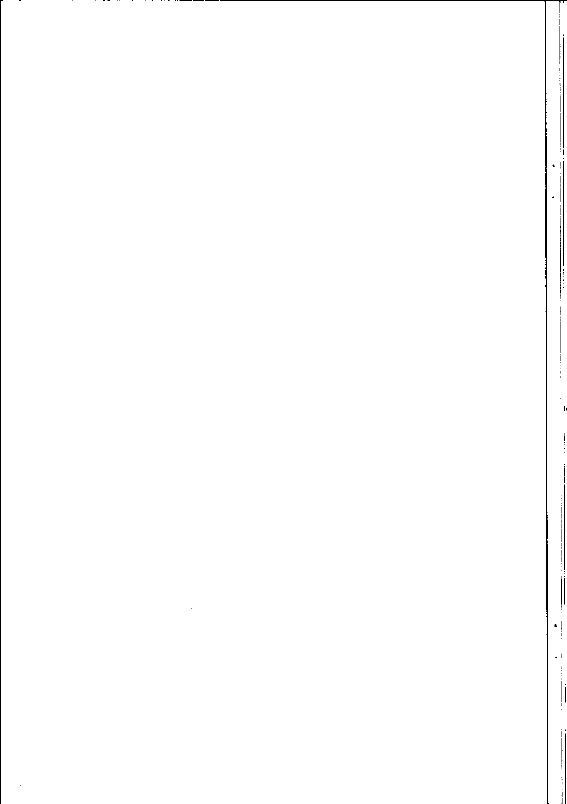$\bar{\mathcal{A}}$  $\mathcal{L}^{\text{max}}_{\text{max}}$  ,  $\mathcal{L}^{\text{max}}_{\text{max}}$ 

 $\ddot{\bullet}$  $\left\vert \right\vert$ 

 $\ddot{\phantom{0}}$ 

 $\bullet$ 

 $\Box$  ŧ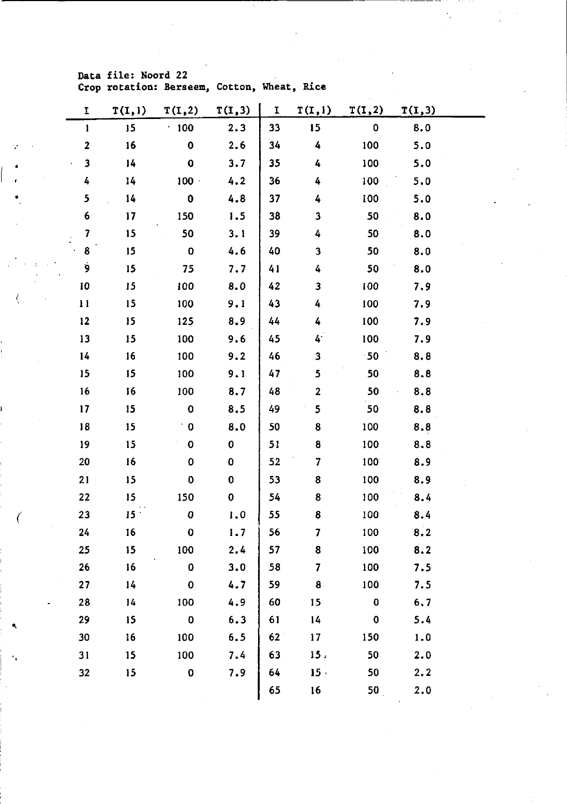Data file: Noord

Crop rotation: Berseem, Cotton, Wheat, Ric

| $\mathbf I$             | T(I, I) | T(I,2)             | T(I,3)    | $\mathbf I$ | T(I, I)                 | T(I,2)           | T(I,3) |  |
|-------------------------|---------|--------------------|-----------|-------------|-------------------------|------------------|--------|--|
| $\mathbf{1}$            | 15      | $\cdot$ 100        | 2.3       | 33          | 15                      | 0                | 8.0    |  |
| $\overline{\mathbf{2}}$ | 16      | $\bf{0}$           | 2.6       | 34          | 4                       | 100              | 5.0    |  |
| 3                       | 14      | $\bf{0}$           | 3.7       | 35          | 4                       | 100              | 5.0    |  |
| 4                       | 14      | $100 -$            | 4.2       | 36          | 4                       | 100              | 5.0    |  |
| 5                       | 14      | $\pmb{\mathsf{O}}$ | 4.8       | 37          | 4                       | 100              | 5.0    |  |
| $\boldsymbol{6}$        | 17      | 150                | 1.5       | 38          | 3                       | 50               | 8.0    |  |
| $\overline{\mathbf{z}}$ | 15      | 50                 | 3.1       | 39          | 4                       | 50               | 8.0    |  |
| 8                       | 15      | $\pmb{0}$          | 4.6       | 40          | 3                       | 50               | 8.0    |  |
| ġ                       | 15      | 75                 | 7.7       | 41          | 4                       | 50               | 8.0    |  |
| 10                      | 15      | 100                | 8.0       | 42          | 3                       | 100              | 7.9    |  |
| 11                      | 15      | 100                | 9.1       | 43          | 4                       | 100              | 7.9    |  |
| 12                      | 15      | 125                | 8.9       | 44          | 4                       | 100              | 7.9    |  |
| 13                      | 15      | 100                | 9.6       | 45          | $\mathbf{4}^{\circ}$    | 100              | 7.9    |  |
| 14                      | 16      | 100                | 9.2       | 46          | $\mathbf{3}$            | 50               | 8.8    |  |
| 15                      | 15      | 100                | 9.1       | 47          | 5                       | 50               | 8.8    |  |
| 16                      | 16      | 100                | 8.7       | 48          | $\boldsymbol{2}$        | 50               | 8.8    |  |
| 17                      | 15      | $\mathbf 0$        | 8.5       | 49          | 5                       | 50               | 8.8    |  |
| 18                      | 15      | $\mathbf 0$        | 8.0       | 50          | 8                       | 100              | 8.8    |  |
| 19                      | 15      | $\mathbf 0$        | 0         | 51          | 8                       | 100              | 8.8    |  |
| 20                      | 16      | $\pmb{0}$          | 0         | 52          | 7                       | 100 <sub>1</sub> | 8.9    |  |
| 21                      | 15      | $\pmb{0}$          | 0         | 53          | 8                       | 100              | 8.9    |  |
| 22                      | 15      | 150                | $\pmb{0}$ | 54          | 8                       | 100              | 8.4    |  |
| 23                      | $15-15$ | $\bf{O}$           | 1.0       | 55          | 8                       | 100              | 8.4    |  |
| 24                      | 16      | $\bf{0}$           | 1.7       | 56          | 7                       | 100              | 8, 2   |  |
| 25                      | 15      | 100                | 2.4       | 57          | 8                       | 100              | 8.2    |  |
| 26                      | 16      | $\bf{0}$           | 3.0       | 58          | $\overline{\mathbf{z}}$ | 100              | 7.5    |  |
| 27                      | 14      | $\pmb{0}$          | 4.7       | 59          | 8 <sub>1</sub>          | 100              | 7.5    |  |
| 28                      | 14      | 100                | 4.9       | 60          | 15                      | $\pmb{0}$        | 6.7    |  |
| 29                      | 15      | $\mathbf 0$        | 6.3       | 61          | 14                      | $\pmb{0}$        | 5.4    |  |
| 30                      | 16      | 100                | 6.5       | 62          | 17                      | 150              | 1.0    |  |
| 31                      | 15      | 100                | 7.4       | 63          | 15j                     | 50               | 2.0    |  |
| 32                      | 15      | $\bf{0}$           | 7.9       | 64          | 15.                     | 50               | 2.2    |  |
|                         |         |                    |           | 65          | 16                      | 50               | 2.0    |  |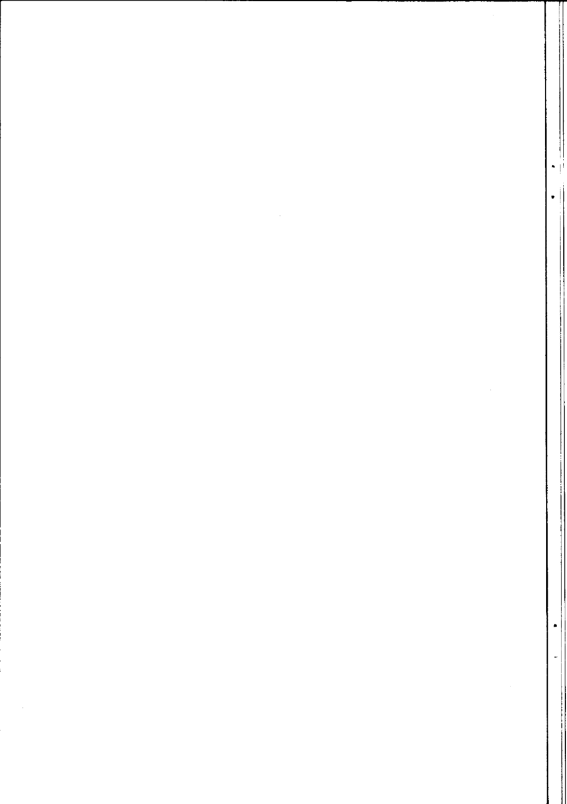$\bullet$  $\mathcal{L}_{\mathcal{L}}$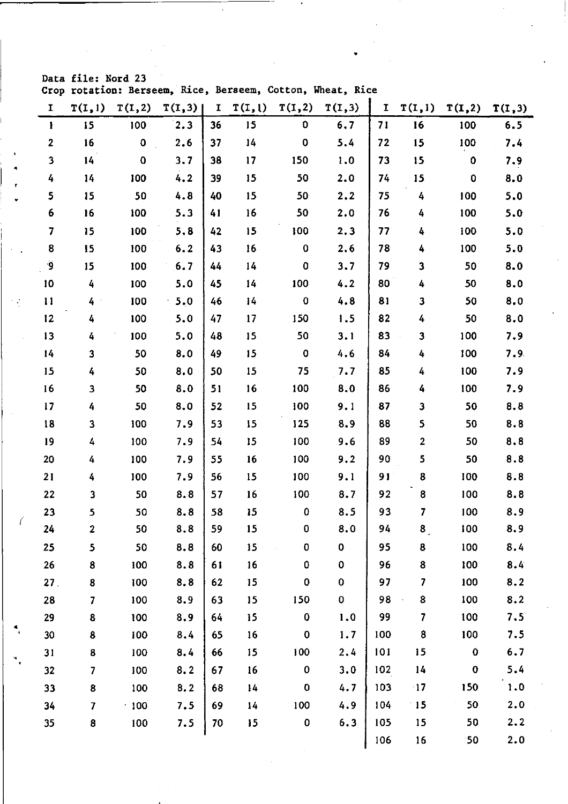Data file: Nord 2

Crop rotation: Berseem, Rice, Berseem, Cotton, Wheat, Ri

| $\mathbf{I}$     | T(I, I)                 | T(I,2)      | T(I, 3) | $\mathbf{I}$    | T(I, l) | T(1,2)      | T(I,3)    | $\mathbf{I}$ | T(I, I)                 | T(I,2) | T(I,3) |
|------------------|-------------------------|-------------|---------|-----------------|---------|-------------|-----------|--------------|-------------------------|--------|--------|
| $\mathbf{1}$     | 15                      | 100         | 2.3     | 36 <sub>1</sub> | 15      | $\mathbf 0$ | 6.7       | 71           | 16                      | 100    | 6.5    |
| $\boldsymbol{2}$ | 16                      | $\mathbf 0$ | 2.6     | 37              | 14      | $\mathbf 0$ | 5.4       | 72           | 15                      | 100    | 7.4    |
| 3                | 14                      | $\pmb{0}$   | 3.7     | 38              | 17      | 150         | 1.0       | 73           | 15                      | 0      | 7.9    |
| 4                | 14                      | 100         | 4.2     | 39              | 15      | 50          | 2.0       | 74           | 15                      | 0      | 8.0    |
| 5                | 15                      | 50          | 4.8     | 40              | 15      | 50          | 2.2       | 75           | 4                       | 100    | 5.0    |
| 6                | 16                      | 100         | 5.3     | 41              | 16      | 50          | 2.0       | 76           | 4                       | 100    | 5.0    |
| 7                | 15                      | 100         | 5.8     | 42              | 15      | 100         | 2.3       | 77           | 4                       | 100    | 5.0    |
| 8                | 15                      | 100         | 6.2     | 43              | 16      | $\mathbf 0$ | 2.6       | 78           | 4                       | 100    | 5.0    |
| ق-               | 15                      | 100         | 6.7     | 44              | 14      | $\pmb{0}$   | 3.7       | 79           | 3                       | 50     | 8.0    |
| 10               | 4                       | 100         | 5.0     | 45              | 14      | 100         | 4.2       | 80           | 4                       | 50     | 8.0    |
| 11               | 4 <sup>1</sup>          | 100         | $-5.0$  | 46              | 14      | $\pmb{0}$   | 4.8       | 81           | 3                       | 50     | 8.0    |
| 12               | 4                       | 100         | 5.0     | 47              | 17      | 150         | 1.5       | 82           | 4                       | 50     | 8.0    |
| 13               | 4                       | 100         | 5.0     | 48              | 15      | 50          | 3.1       | 83           | $\mathbf{3}$            | 100    | 7.9    |
| 14               | $\mathbf{3}$            | 50          | 8.0     | 49              | 15      | $\mathbf 0$ | 4.6       | 84           | 4                       | 100    | 7.9    |
| 15               | 4                       | 50          | 8.0     | 50              | 15      | 75          | 7.7       | 85           | 4                       | 100    | 7.9    |
| 16               | $\mathbf{3}$            | 50          | 8.0     | 51              | 16      | 100         | 8.0       | 86           | 4                       | 100    | 7.9    |
| 17               | 4                       | 50          | 8.0     | 52              | 15      | 100         | 9.1       | 87           | $\mathbf{3}$            | 50     | 8.8    |
| 18               | 3                       | 100         | 7.9     | 53              | 15      | 125         | 8.9       | 88           | 5                       | 50     | 8.8    |
| 19               | 4                       | 100         | 7.9     | 54              | 15      | 100         | 9.6       | 89           | $\boldsymbol{2}$        | 50     | 8.8    |
| 20               | 4                       | 100         | 7.9     | 55              | 16      | 100         | 9.2       | 90           | 5                       | 50     | 8.8    |
| 21               | 4                       | 100         | 7.9     | 56              | 15      | 100         | 9.1       | 91           | 8                       | 100    | 8.8    |
| 22               | 3                       | 50          | 8.8     | 57              | 16      | 100         | 8.7       | 92           | 8                       | 100    | 8.8    |
| 23               | 5                       | 50          | 8.8     | 58              | 15      | $\pmb{0}$   | 8.5       | 93           | 7                       | 100    | 8.9    |
| 24               | 2                       | 50          | 8.8     | 59              | 15      | 0           | 8.0       | 94           | $\bf{8}_{.}$            | 100    | 8.9    |
| 25               | 5                       | 50          | 8.8     | 60              | 15      | $\pmb{0}$   | $\pmb{0}$ | 95           | 8                       | 100    | 8.4    |
| 26               | 8                       | 100         | 8.8     | 61              | 16      | 0           | $\pmb{0}$ | 96           | 8                       | 100    | 8.4    |
| 27 <sub>1</sub>  | 8                       | 100         | 8.8     | 62              | 15      | 0           | $\pmb{0}$ | 97           | $\overline{\mathbf{z}}$ | 100    | 8.2    |
| 28               | 7                       | 100         | 8.9     | 63              | 15      | 150         | $\pmb{0}$ | 98           | 8                       | 100    | 8.2    |
| 29               | 8                       | 100         | 8.9     | 64              | 15      | $\pmb{0}$   | 1.0       | 99           | 7                       | 100    | 7.5    |
| 30               | 8                       | 100         | 8,4     | 65              | 16      | $\mathbf 0$ | 1.7       | 100          | 8                       | 100    | 7.5    |
| 31               | 8                       | 100         | 8.4     | 66              | 15      | 100         | 2.4       | 101          | 15                      | 0      | 6.7    |
| 32               | $\overline{\mathbf{z}}$ | 100         | 8.2     | 67              | 16      | $\mathbf 0$ | 3.0       | 102          | 14                      | 0      | 5.4    |
| 33               | 8                       | 100         | 8.2     | 68              | 14      | $\pmb{0}$   | 4.7       | 103          | $\cdot$ 17              | 150    | 1.0    |
| 34               | $\overline{\mathbf{z}}$ | $-100$      | 7.5     | 69              | 14      | 100         | 4.9       | 104          | 15                      | 50     | 2.0    |
| 35               | 8                       | 100         | 7.5     | 70              | 15      | $\pmb{0}$   | 6.3       | 105          | 15                      | 50     | 2.2    |
|                  |                         |             |         |                 |         |             |           | 106          | 16                      | 50     | 2.0    |